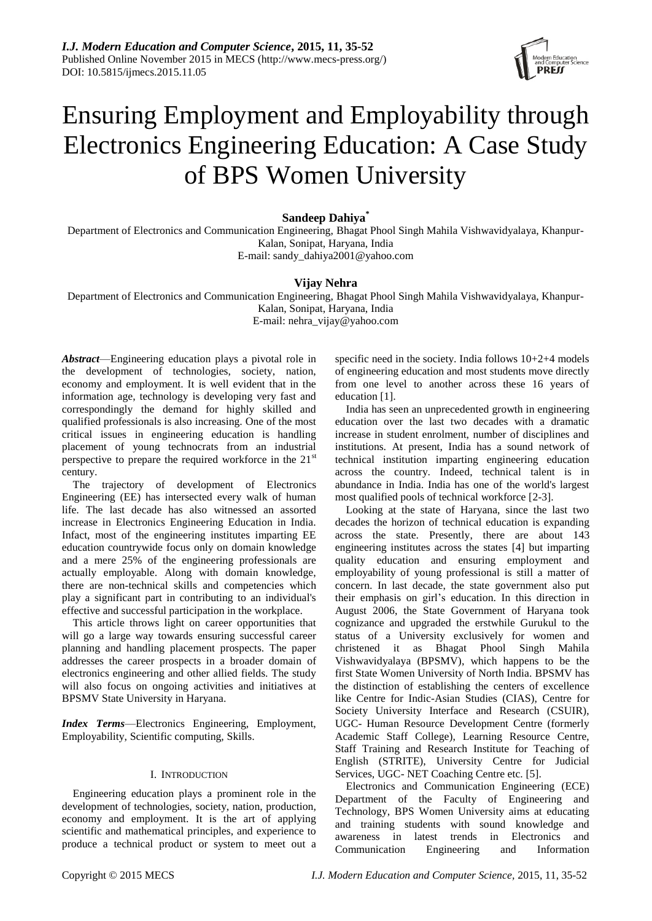

# Ensuring Employment and Employability through Electronics Engineering Education: A Case Study of BPS Women University

## **Sandeep Dahiya\***

Department of Electronics and Communication Engineering, Bhagat Phool Singh Mahila Vishwavidyalaya, Khanpur-Kalan, Sonipat, Haryana, India E-mail: sandy\_dahiya2001@yahoo.com

# **Vijay Nehra**

Department of Electronics and Communication Engineering, Bhagat Phool Singh Mahila Vishwavidyalaya, Khanpur-Kalan, Sonipat, Haryana, India E-mail: nehra\_vijay@yahoo.com

*Abstract*—Engineering education plays a pivotal role in the development of technologies, society, nation, economy and employment. It is well evident that in the information age, technology is developing very fast and correspondingly the demand for highly skilled and qualified professionals is also increasing. One of the most critical issues in engineering education is handling placement of young technocrats from an industrial perspective to prepare the required workforce in the  $21<sup>st</sup>$ century.

The trajectory of development of Electronics Engineering (EE) has intersected every walk of human life. The last decade has also witnessed an assorted increase in Electronics Engineering Education in India. Infact, most of the engineering institutes imparting EE education countrywide focus only on domain knowledge and a mere 25% of the engineering professionals are actually employable. Along with domain knowledge, there are non-technical skills and competencies which play a significant part in contributing to an individual's effective and successful participation in the workplace.

This article throws light on career opportunities that will go a large way towards ensuring successful career planning and handling placement prospects. The paper addresses the career prospects in a broader domain of electronics engineering and other allied fields. The study will also focus on ongoing activities and initiatives at BPSMV State University in Haryana.

*Index Terms*—Electronics Engineering, Employment, Employability, Scientific computing, Skills.

#### I. INTRODUCTION

Engineering education plays a prominent role in the development of technologies, society, nation, production, economy and employment. It is the art of applying scientific and mathematical principles, and experience to produce a technical product or system to meet out a specific need in the society. India follows 10+2+4 models of engineering education and most students move directly from one level to another across these 16 years of education [1].

India has seen an unprecedented growth in engineering education over the last two decades with a dramatic increase in student enrolment, number of disciplines and institutions. At present, India has a sound network of technical institution imparting engineering education across the country. Indeed, technical talent is in abundance in India. India has one of the world's largest most qualified pools of technical workforce [2-3].

Looking at the state of Haryana, since the last two decades the horizon of technical education is expanding across the state. Presently, there are about 143 engineering institutes across the states [4] but imparting quality education and ensuring employment and employability of young professional is still a matter of concern. In last decade, the state government also put their emphasis on girl's education. In this direction in August 2006, the State Government of Haryana took cognizance and upgraded the erstwhile Gurukul to the status of a University exclusively for women and christened it as Bhagat Phool Singh Mahila Vishwavidyalaya (BPSMV), which happens to be the first State Women University of North India. BPSMV has the distinction of establishing the centers of excellence like Centre for Indic-Asian Studies (CIAS), Centre for Society University Interface and Research (CSUIR), UGC- Human Resource Development Centre (formerly Academic Staff College), Learning Resource Centre, Staff Training and Research Institute for Teaching of English (STRITE), University Centre for Judicial Services, UGC- NET Coaching Centre etc. [5].

Electronics and Communication Engineering (ECE) Department of the Faculty of Engineering and Technology, BPS Women University aims at educating and training students with sound knowledge and awareness in latest trends in Electronics and Communication Engineering and Information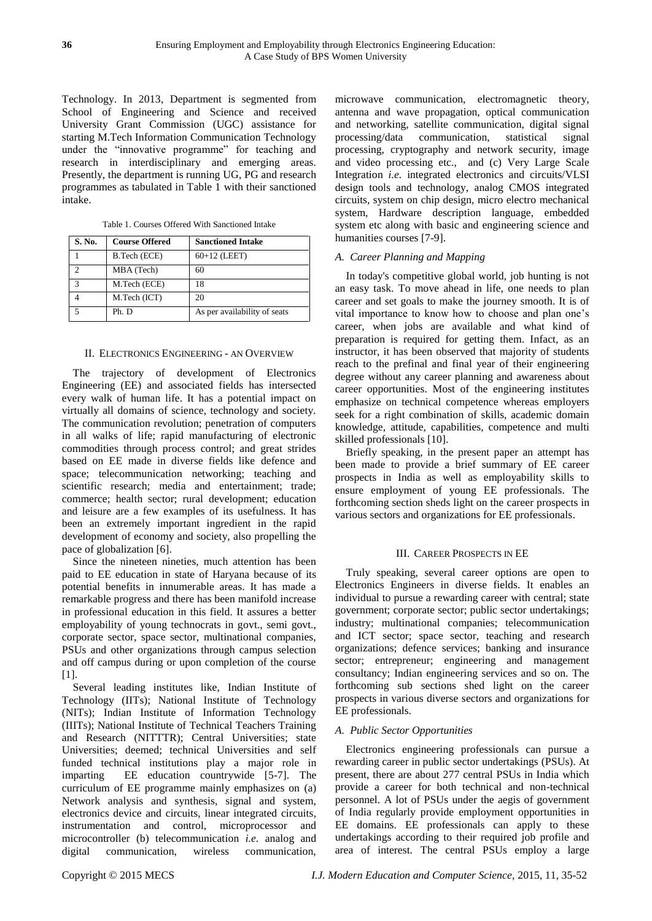Technology. In 2013, Department is segmented from School of Engineering and Science and received University Grant Commission (UGC) assistance for starting M.Tech Information Communication Technology under the "innovative programme" for teaching and research in interdisciplinary and emerging areas. Presently, the department is running UG, PG and research programmes as tabulated in Table 1 with their sanctioned intake.

| S. No.            | <b>Course Offered</b> | <b>Sanctioned Intake</b>     |  |  |
|-------------------|-----------------------|------------------------------|--|--|
|                   | B.Tech (ECE)          | $60+12$ (LEET)               |  |  |
|                   | MBA (Tech)            | 60                           |  |  |
| $\mathbf{\Omega}$ | M.Tech (ECE)          | 18                           |  |  |
|                   | M.Tech (ICT)          | 20                           |  |  |
|                   | Ph. D                 | As per availability of seats |  |  |

Table 1. Courses Offered With Sanctioned Intake

#### II. ELECTRONICS ENGINEERING - AN OVERVIEW

The trajectory of development of Electronics Engineering (EE) and associated fields has intersected every walk of human life. It has a potential impact on virtually all domains of science, technology and society. The communication revolution; penetration of computers in all walks of life; rapid manufacturing of electronic commodities through process control; and great strides based on EE made in diverse fields like defence and space; telecommunication networking; teaching and scientific research; media and entertainment; trade; commerce; health sector; rural development; education and leisure are a few examples of its usefulness. It has been an extremely important ingredient in the rapid development of economy and society, also propelling the pace of globalization [6].

Since the nineteen nineties, much attention has been paid to EE education in state of Haryana because of its potential benefits in innumerable areas. It has made a remarkable progress and there has been manifold increase in professional education in this field. It assures a better employability of young technocrats in govt., semi govt., corporate sector, space sector, multinational companies, PSUs and other organizations through campus selection and off campus during or upon completion of the course [1].

Several leading institutes like, Indian Institute of Technology (IITs); National Institute of Technology (NITs); Indian Institute of Information Technology (IIITs); National Institute of Technical Teachers Training and Research (NITTTR); Central Universities; state Universities; deemed; technical Universities and self funded technical institutions play a major role in imparting EE education countrywide [5-7]. The curriculum of EE programme mainly emphasizes on (a) Network analysis and synthesis, signal and system, electronics device and circuits, linear integrated circuits, instrumentation and control, microprocessor and microcontroller (b) telecommunication *i.e.* analog and digital communication, wireless communication,

microwave communication, electromagnetic theory, antenna and wave propagation, optical communication and networking, satellite communication, digital signal processing/data communication, statistical signal processing, cryptography and network security, image and video processing etc., and (c) Very Large Scale Integration *i.e.* integrated electronics and circuits/VLSI design tools and technology, analog CMOS integrated circuits, system on chip design, micro electro mechanical system, Hardware description language, embedded system etc along with basic and engineering science and humanities courses [7-9].

#### *A. Career Planning and Mapping*

In today's competitive global world, job hunting is not an easy task. To move ahead in life, one needs to plan career and set goals to make the journey smooth. It is of vital importance to know how to choose and plan one's career, when jobs are available and what kind of preparation is required for getting them. Infact, as an instructor, it has been observed that majority of students reach to the prefinal and final year of their engineering degree without any career planning and awareness about career opportunities. Most of the engineering institutes emphasize on technical competence whereas employers seek for a right combination of skills, academic domain knowledge, attitude, capabilities, competence and multi skilled professionals [10].

Briefly speaking, in the present paper an attempt has been made to provide a brief summary of EE career prospects in India as well as employability skills to ensure employment of young EE professionals. The forthcoming section sheds light on the career prospects in various sectors and organizations for EE professionals.

#### III. CAREER PROSPECTS IN EE

Truly speaking, several career options are open to Electronics Engineers in diverse fields. It enables an individual to pursue a rewarding career with central; state government; corporate sector; public sector undertakings; industry; multinational companies; telecommunication and ICT sector; space sector, teaching and research organizations; defence services; banking and insurance sector; entrepreneur; engineering and management consultancy; Indian engineering services and so on. The forthcoming sub sections shed light on the career prospects in various diverse sectors and organizations for EE professionals.

#### *A. Public Sector Opportunities*

Electronics engineering professionals can pursue a rewarding career in public sector undertakings (PSUs). At present, there are about 277 central PSUs in India which provide a career for both technical and non-technical personnel. A lot of PSUs under the aegis of government of India regularly provide employment opportunities in EE domains. EE professionals can apply to these undertakings according to their required job profile and area of interest. The central PSUs employ a large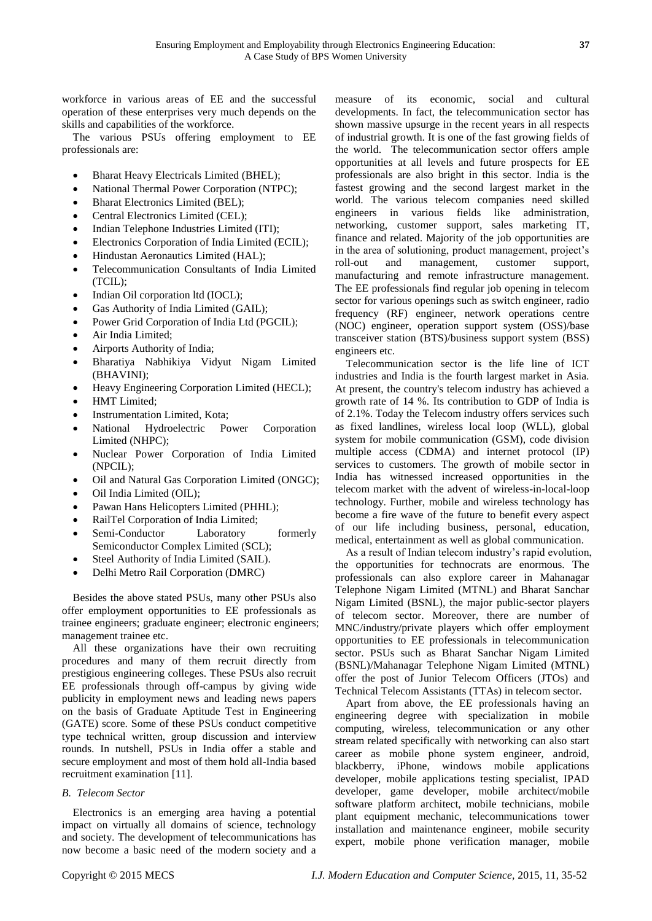workforce in various areas of EE and the successful operation of these enterprises very much depends on the skills and capabilities of the workforce.

The various PSUs offering employment to EE professionals are:

- Bharat Heavy Electricals Limited (BHEL);
- National Thermal Power Corporation (NTPC);
- Bharat Electronics Limited (BEL);
- Central Electronics Limited (CEL);
- Indian Telephone Industries Limited (ITI);
- Electronics Corporation of India Limited (ECIL);
- Hindustan Aeronautics Limited (HAL);
- Telecommunication Consultants of India Limited (TCIL);
- Indian Oil corporation ltd (IOCL);
- Gas Authority of India Limited (GAIL);
- Power Grid Corporation of India Ltd (PGCIL);
- [Air India Limited;](http://india.gov.in/outerwin.php?id=http://home.airindia.in/SBCMS/Webpages/Careers.aspx?MID=201)
- [Airports Authority of India;](http://india.gov.in/outerwin.php?id=http://aai.aero/employment_news/emp_news_recruitment.jsp)
- [Bharatiya Nabhikiya Vidyut Nigam Limited](http://india.gov.in/outerwin.php?id=http://bhavini.nic.in/careers.asp)  [\(BHAVINI\);](http://india.gov.in/outerwin.php?id=http://bhavini.nic.in/careers.asp)
- Heavy Engineering Corporation Limited (HECL);
- HMT Limited;
- Instrumentation Limited, Kota;
- National Hydroelectric Power Corporation Limited (NHPC);
- Nuclear Power Corporation of India Limited (NPCIL);
- [Oil and Natural Gas Corporation Limited \(ONGC\);](http://india.gov.in/outerwin.php?id=http://www.ongcindia.com/recruit.asp)
- [Oil India Limited \(OIL\);](http://india.gov.in/outerwin.php?id=http://www.oil-india.com/company.aspx)
- [Pawan Hans Helicopters Limited \(PHHL\);](http://india.gov.in/outerwin.php?id=http://164.100.52.5/index.asp)
- RailTel Corporation of India Limited;
- Semi-Conductor Laboratory formerly Semiconductor Complex Limited (SCL);
- Steel Authority of India Limited (SAIL).
- Delhi Metro Rail Corporation (DMRC)

Besides the above stated PSUs, many other PSUs also offer employment opportunities to EE professionals as trainee engineers; graduate engineer; electronic engineers; management trainee etc.

All these organizations have their own recruiting procedures and many of them recruit directly from prestigious engineering colleges. These PSUs also recruit EE professionals through off-campus by giving wide publicity in employment news and leading news papers on the basis of Graduate Aptitude Test in Engineering (GATE) score. Some of these PSUs conduct competitive type technical written, group discussion and interview rounds. In nutshell, PSUs in India offer a stable and [secure employment](http://www.babujobs.com/government-job-benefits-in-india/) and most of them hold all-India based recruitment examination [11].

## *B. Telecom Sector*

Electronics is an emerging area having a potential impact on virtually all domains of science, technology and society. The development of telecommunications has now become a basic need of the modern society and a

measure of its economic, social and cultural developments. In fact, the telecommunication sector has shown massive upsurge in the recent years in all respects of industrial growth. It is one of the fast growing fields of the world. The telecommunication sector offers ample opportunities at all levels and future prospects for EE professionals are also bright in this sector. India is the fastest growing and the second largest market in the world. The various telecom companies need skilled engineers in various fields like administration, networking, customer support, sales marketing IT, finance and related. Majority of the job opportunities are in the area of solutioning, product management, project's roll-out and management, customer support, manufacturing and remote infrastructure management. The EE professionals find regular job opening in telecom sector for various openings such as switch engineer, radio frequency (RF) engineer, network operations centre (NOC) engineer, operation support system (OSS)/base transceiver station (BTS)/business support system (BSS) engineers etc.

Telecommunication sector is the life line of ICT industries and India is the fourth largest market in Asia. At present, the country's telecom industry has achieved a growth rate of 14 %. Its contribution to GDP of India is of 2.1%. Today the Telecom industry offers services such as fixed landlines, wireless local loop (WLL), global system for mobile communication (GSM), code division multiple access (CDMA) and internet protocol (IP) services to customers. The growth of mobile sector in India has witnessed increased opportunities in the telecom market with the advent of wireless-in-local-loop technology. Further, mobile and wireless technology has become a fire wave of the future to benefit every aspect of our life including business, personal, education, medical, entertainment as well as global communication.

As a result of Indian telecom industry's rapid evolution, the opportunities for technocrats are enormous. The professionals can also explore career in Mahanagar Telephone Nigam Limited (MTNL) and Bharat Sanchar Nigam Limited (BSNL), the major public-sector players of telecom sector. Moreover, there are number of MNC/industry/private players which offer employment opportunities to EE professionals in telecommunication sector. PSUs such as Bharat Sanchar Nigam Limited (BSNL)/Mahanagar Telephone Nigam Limited (MTNL) offer the post of Junior Telecom Officers (JTOs) and Technical Telecom Assistants (TTAs) in telecom sector.

Apart from above, the EE professionals having an engineering degree with specialization in mobile computing, wireless, telecommunication or any other stream related specifically with networking can also start career as mobile phone system engineer, android, blackberry, iPhone, windows mobile applications developer, mobile applications testing specialist, IPAD developer, game developer, mobile architect/mobile software platform architect, mobile technicians, mobile plant equipment mechanic, telecommunications tower installation and maintenance engineer, mobile security expert, mobile phone verification manager, mobile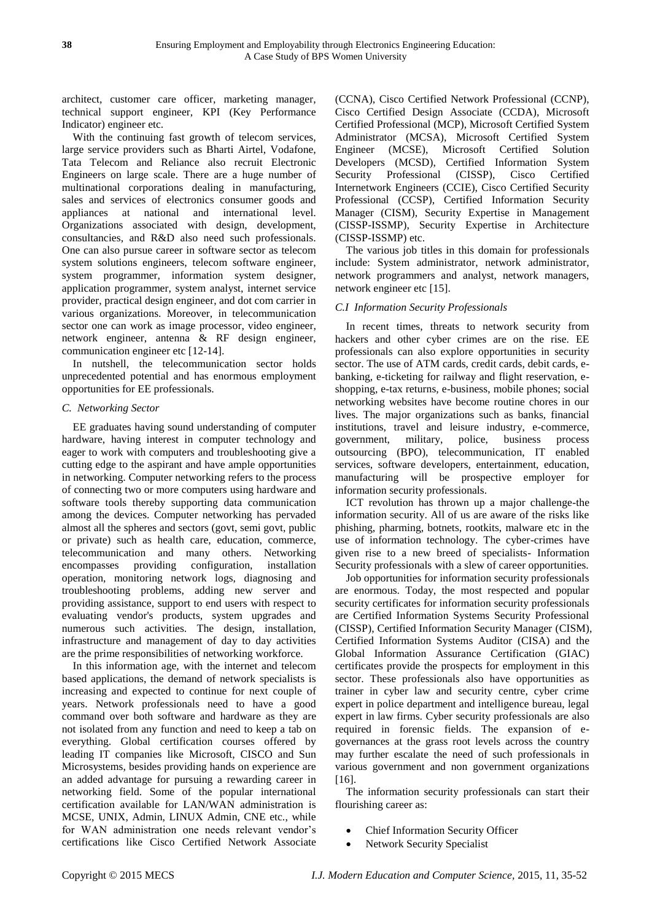architect, customer care officer, marketing manager, technical support engineer, KPI (Key Performance Indicator) engineer etc.

With the continuing fast growth of telecom services, large service providers such as Bharti Airtel, Vodafone, Tata Telecom and Reliance also recruit Electronic Engineers on large scale. There are a huge number of multinational corporations dealing in manufacturing, sales and services of electronics consumer goods and appliances at national and international level. Organizations associated with design, development, consultancies, and R&D also need such professionals. One can also pursue career in software sector as telecom system solutions engineers, telecom software engineer, system programmer, information system designer, application programmer, system analyst, internet service provider, practical design engineer, and dot com carrier in various organizations. Moreover, in telecommunication sector one can work as image processor, video engineer, network engineer, antenna & RF design engineer, communication engineer etc [12-14].

In nutshell, the telecommunication sector holds unprecedented potential and has enormous employment opportunities for EE professionals.

#### *C. Networking Sector*

EE graduates having sound understanding of computer hardware, having interest in computer technology and eager to work with computers and troubleshooting give a cutting edge to the aspirant and have ample opportunities in networking. Computer networking refers to the process of connecting two or more computers using hardware and software tools thereby supporting data communication among the devices. Computer networking has pervaded almost all the spheres and sectors (govt, semi govt, public or private) such as health care, education, commerce, telecommunication and many others. Networking encompasses providing configuration, installation operation, monitoring network logs, diagnosing and troubleshooting problems, adding new server and providing assistance, support to end users with respect to evaluating vendor's products, system upgrades and numerous such activities. The design, installation, infrastructure and management of day to day activities are the prime responsibilities of networking workforce.

In this information age, with the internet and telecom based applications, the demand of network specialists is increasing and expected to continue for next couple of years. Network professionals need to have a good command over both software and hardware as they are not isolated from any function and need to keep a tab on everything. Global certification courses offered by leading IT companies like Microsoft, CISCO and Sun Microsystems, besides providing hands on experience are an added advantage for pursuing a rewarding career in networking field. Some of the popular international certification available for LAN/WAN administration is MCSE, UNIX, Admin, LINUX Admin, CNE etc., while for WAN administration one needs relevant vendor's certifications like Cisco Certified Network Associate

(CCNA), Cisco Certified Network Professional (CCNP), Cisco Certified Design Associate (CCDA), Microsoft Certified Professional (MCP), Microsoft Certified System Administrator (MCSA), Microsoft Certified System Engineer (MCSE), Microsoft Certified Solution Developers (MCSD), Certified Information System Security Professional (CISSP), Cisco Certified Internetwork Engineers (CCIE), Cisco Certified Security Professional (CCSP), Certified Information Security Manager (CISM), Security Expertise in Management (CISSP-ISSMP), Security Expertise in Architecture (CISSP-ISSMP) etc.

The various job titles in this domain for professionals include: System administrator, network administrator, network programmers and analyst, network managers, network engineer etc [15].

#### *C.I Information Security Professionals*

In recent times, threats to network security from hackers and other cyber crimes are on the rise. EE professionals can also explore opportunities in security sector. The use of ATM cards, credit cards, debit cards, ebanking, e-ticketing for railway and flight reservation, eshopping, e-tax returns, e-business, mobile phones; social networking websites have become routine chores in our lives. The major organizations such as banks, financial institutions, travel and leisure industry, e-commerce, government, military, police, business process outsourcing (BPO), telecommunication, IT enabled services, software developers, entertainment, education, manufacturing will be prospective employer for information security professionals.

ICT revolution has thrown up a major challenge-the information security. All of us are aware of the risks like phishing, pharming, botnets, rootkits, malware etc in the use of information technology. The cyber-crimes have given rise to a new breed of specialists- Information Security professionals with a slew of career opportunities.

Job opportunities for information security professionals are enormous. Today, the most respected and popular security certificates for information security professionals are Certified Information Systems Security Professional (CISSP), Certified Information Security Manager (CISM), Certified Information Systems Auditor (CISA) and the Global Information Assurance Certification (GIAC) certificates provide the prospects for employment in this sector. These professionals also have opportunities as trainer in cyber law and security centre, cyber crime expert in police department and intelligence bureau, legal expert in law firms. Cyber security professionals are also required in forensic fields. The expansion of egovernances at the grass root levels across the country may further escalate the need of such professionals in various government and non government organizations [16].

The information security professionals can start their flourishing career as:

- Chief Information Security Officer
- Network Security Specialist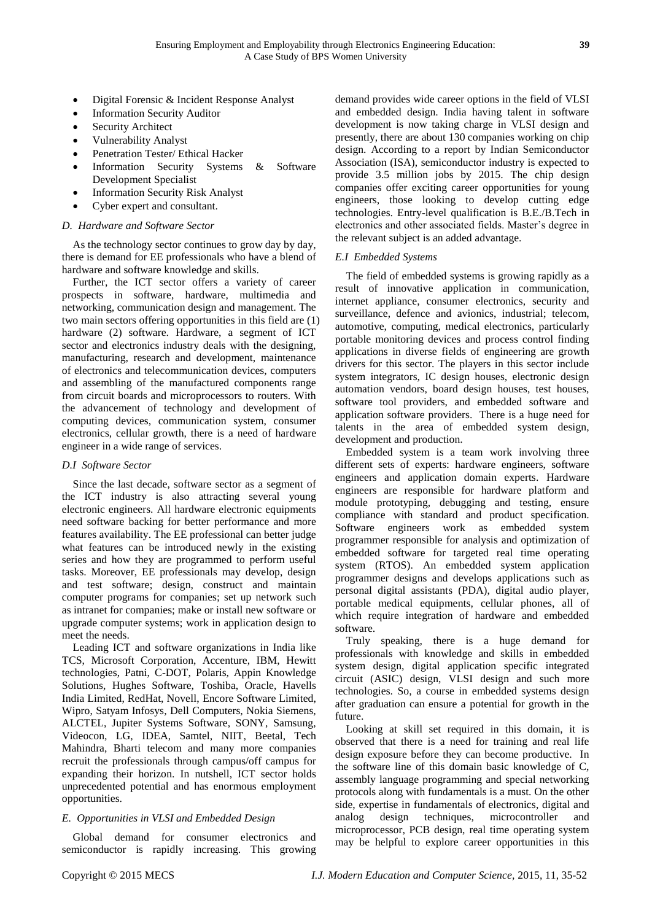- Digital Forensic & Incident Response Analyst
- Information Security Auditor
- Security Architect
- Vulnerability Analyst
- Penetration Tester/ Ethical Hacker
- Information Security Systems & Software Development Specialist
- Information Security Risk Analyst
- Cyber expert and consultant.

## *D. Hardware and Software Sector*

As the technology sector continues to grow day by day, there is demand for EE professionals who have a blend of hardware and software knowledge and skills.

Further, the ICT sector offers a variety of career prospects in software, hardware, multimedia and networking, communication design and management. The two main sectors offering opportunities in this field are (1) hardware (2) software. Hardware, a segment of ICT sector and electronics industry deals with the designing, manufacturing, research and development, maintenance of electronics and telecommunication devices, computers and assembling of the manufactured components range from circuit boards and microprocessors to routers. With the advancement of technology and development of computing devices, communication system, consumer electronics, cellular growth, there is a need of hardware engineer in a wide range of services.

## *D.I Software Sector*

Since the last decade, software sector as a segment of the ICT industry is also attracting several young electronic engineers. All hardware electronic equipments need software backing for better performance and more features availability. The EE professional can better judge what features can be introduced newly in the existing series and how they are programmed to perform useful tasks. Moreover, EE professionals may develop, design and test software; design, construct and maintain computer programs for companies; set up network such as intranet for companies; make or install new software or upgrade computer systems; work in application design to meet the needs.

Leading ICT and software organizations in India like TCS, Microsoft Corporation, Accenture, IBM, Hewitt technologies, Patni, C-DOT, Polaris, Appin Knowledge Solutions, Hughes Software, Toshiba, Oracle, Havells India Limited, RedHat, Novell, Encore Software Limited, Wipro, Satyam Infosys, Dell Computers, Nokia Siemens, ALCTEL, Jupiter Systems Software, SONY, Samsung, Videocon, LG, IDEA, Samtel, NIIT, Beetal, Tech Mahindra, Bharti telecom and many more companies recruit the professionals through campus/off campus for expanding their horizon. In nutshell, ICT sector holds unprecedented potential and has enormous employment opportunities.

## *E. Opportunities in VLSI and Embedded Design*

Global demand for consumer electronics and semiconductor is rapidly increasing. This growing demand provides wide career options in the field of VLSI and embedded design. India having talent in software development is now taking charge in VLSI design and presently, there are about 130 companies working on chip design. According to a report by Indian Semiconductor Association (ISA), semiconductor industry is expected to provide 3.5 million jobs by 2015. The chip design companies offer exciting career opportunities for young engineers, those looking to develop cutting edge technologies. Entry-level qualification is B.E./B.Tech in electronics and other associated fields. Master's degree in the relevant subject is an added advantage.

#### *E.I Embedded Systems*

The field of embedded systems is growing rapidly as a result of innovative application in communication, internet appliance, consumer electronics, security and surveillance, defence and avionics, industrial; telecom, automotive, computing, medical electronics, particularly portable monitoring devices and process control finding applications in diverse fields of engineering are growth drivers for this sector. The players in this sector include system integrators, IC design houses, electronic design automation vendors, board design houses, test houses, software tool providers, and embedded software and application software providers. There is a huge need for talents in the area of embedded system design, development and production.

Embedded system is a team work involving three different sets of experts: hardware engineers, software engineers and application domain experts. Hardware engineers are responsible for hardware platform and module prototyping, debugging and testing, ensure compliance with standard and product specification. Software engineers work as embedded system programmer responsible for analysis and optimization of embedded software for targeted real time operating system (RTOS). An embedded system application programmer designs and develops applications such as personal digital assistants (PDA), digital audio player, portable medical equipments, cellular phones, all of which require integration of hardware and embedded software.

Truly speaking, there is a huge demand for professionals with knowledge and skills in embedded system design, digital application specific integrated circuit (ASIC) design, VLSI design and such more technologies. So, a course in embedded systems design after graduation can ensure a potential for growth in the future.

Looking at skill set required in this domain, it is observed that there is a need for training and real life design exposure before they can become productive. In the software line of this domain basic knowledge of C, assembly language programming and special networking protocols along with fundamentals is a must. On the other side, expertise in fundamentals of electronics, digital and analog design techniques, microcontroller and microprocessor, PCB design, real time operating system may be helpful to explore career opportunities in this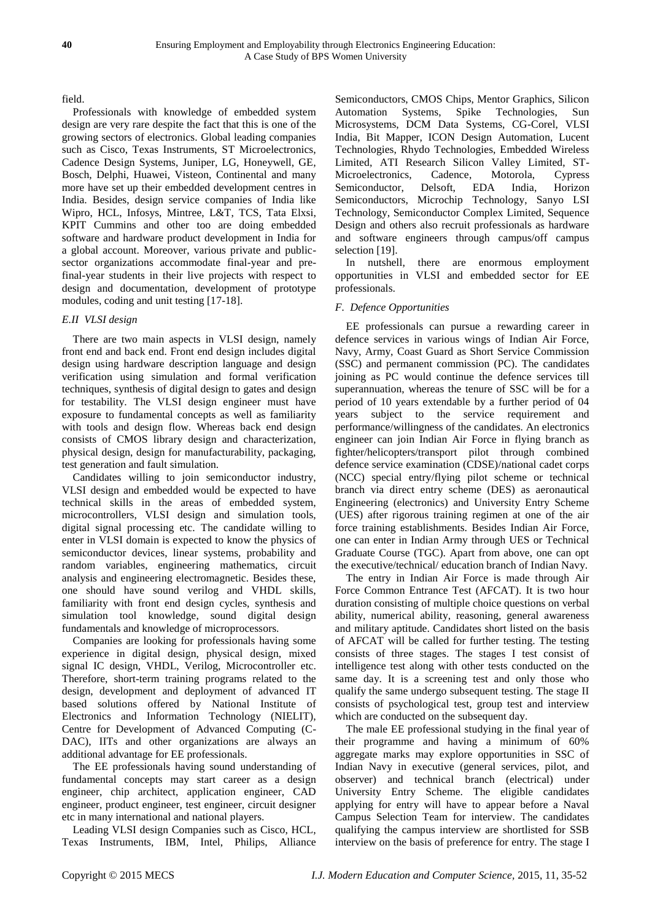field.

Professionals with knowledge of embedded system design are very rare despite the fact that this is one of the growing sectors of electronics. Global leading companies such as Cisco, Texas Instruments, ST Microelectronics, Cadence Design Systems, Juniper, LG, Honeywell, GE, Bosch, Delphi, Huawei, Visteon, Continental and many more have set up their embedded development centres in India. Besides, design service companies of India like Wipro, HCL, Infosys, Mintree, L&T, TCS, Tata Elxsi, KPIT Cummins and other too are doing embedded software and hardware product development in India for a global account. Moreover, various private and publicsector organizations accommodate final-year and prefinal-year students in their live projects with respect to design and documentation, development of prototype modules, coding and unit testing [17-18].

# *E.II VLSI design*

There are two main aspects in VLSI design, namely front end and back end. Front end design includes digital design using hardware description language and design verification using simulation and formal verification techniques, synthesis of digital design to gates and design for testability. The VLSI design engineer must have exposure to fundamental concepts as well as familiarity with tools and design flow. Whereas back end design consists of CMOS library design and characterization, physical design, design for manufacturability, packaging, test generation and fault simulation.

Candidates willing to join semiconductor industry, VLSI design and embedded would be expected to have technical skills in the areas of embedded system, microcontrollers, VLSI design and simulation tools, digital signal processing etc. The candidate willing to enter in VLSI domain is expected to know the physics of semiconductor devices, linear systems, probability and random variables, engineering mathematics, circuit analysis and engineering electromagnetic. Besides these, one should have sound verilog and VHDL skills, familiarity with front end design cycles, synthesis and simulation tool knowledge, sound digital design fundamentals and knowledge of microprocessors.

Companies are looking for professionals having some experience in digital design, physical design, mixed signal IC design, VHDL, Verilog, Microcontroller etc. Therefore, short-term training programs related to the design, development and deployment of advanced IT based solutions offered by National Institute of Electronics and Information Technology (NIELIT), Centre for Development of Advanced Computing (C-DAC), IITs and other organizations are always an additional advantage for EE professionals.

The EE professionals having sound understanding of fundamental concepts may start career as a design engineer, chip architect, application engineer, CAD engineer, product engineer, test engineer, circuit designer etc in many international and national players.

Leading VLSI design Companies such as Cisco, HCL, Texas Instruments, IBM, Intel, Philips, Alliance Semiconductors, CMOS Chips, Mentor Graphics, Silicon Automation Systems, Spike Technologies, Sun Microsystems, DCM Data Systems, CG-Corel, [VLSI](http://www.rekha.com/cgi-bin/search/index.cgi?ID=972996252)  [India,](http://www.rekha.com/cgi-bin/search/index.cgi?ID=972996252) Bit Mapper, ICON Design Automation, Lucent Technologies, Rhydo Technologies, Embedded Wireless Limited, ATI Research Silicon Valley Limited, ST-Microelectronics, Cadence, Motorola, [Cypress](http://www.rekha.com/cgi-bin/search/index.cgi?ID=927068700)  [Semiconductor,](http://www.rekha.com/cgi-bin/search/index.cgi?ID=927068700) [Delsoft,](http://www.rekha.com/cgi-bin/search/index.cgi?ID=970167074) [EDA India,](http://www.rekha.com/cgi-bin/search/index.cgi?ID=978472637) [Horizon](http://www.rekha.com/cgi-bin/search/index.cgi?ID=1026559212)  [Semiconductors,](http://www.rekha.com/cgi-bin/search/index.cgi?ID=1026559212) [Microchip Technology,](http://www.rekha.com/cgi-bin/search/index.cgi?ID=927074711) [Sanyo LSI](http://www.rekha.com/cgi-bin/search/index.cgi?ID=955532220)  [Technology,](http://www.rekha.com/cgi-bin/search/index.cgi?ID=955532220) [Semiconductor Complex L](http://www.rekha.com/cgi-bin/search/index.cgi?ID=951766803)imited, [Sequence](http://www.rekha.com/cgi-bin/search/index.cgi?ID=944082942)  [Design](http://www.rekha.com/cgi-bin/search/index.cgi?ID=944082942) and others also recruit professionals as hardware and software engineers through campus/off campus selection [19].

In nutshell, there are enormous employment opportunities in VLSI and embedded sector for EE professionals.

## *F. Defence Opportunities*

EE professionals can pursue a rewarding career in defence services in various wings of Indian Air Force, Navy, Army, Coast Guard as Short Service Commission (SSC) and permanent commission (PC). The candidates joining as PC would continue the defence services till superannuation, whereas the tenure of SSC will be for a period of 10 years extendable by a further period of 04 years subject to the service requirement and performance/willingness of the candidates. An electronics engineer can join Indian Air Force in flying branch as fighter/helicopters/transport pilot through combined defence service examination (CDSE)/national cadet corps (NCC) special entry/flying pilot scheme or technical branch via direct entry scheme (DES) as aeronautical Engineering (electronics) and University Entry Scheme (UES) after rigorous training regimen at one of the air force training establishments. Besides Indian Air Force, one can enter in Indian Army through UES or Technical Graduate Course (TGC). Apart from above, one can opt the executive/technical/ education branch of Indian Navy.

The entry in Indian Air Force is made through Air Force Common Entrance Test (AFCAT). It is two hour duration consisting of multiple choice questions on verbal ability, numerical ability, reasoning, general awareness and military aptitude. Candidates short listed on the basis of AFCAT will be called for further testing. The testing consists of three stages. The stages I test consist of intelligence test along with other tests conducted on the same day. It is a screening test and only those who qualify the same undergo subsequent testing. The stage II consists of psychological test, group test and interview which are conducted on the subsequent day.

The male EE professional studying in the final year of their programme and having a minimum of 60% aggregate marks may explore opportunities in SSC of Indian Navy in executive (general services, pilot, and observer) and technical branch (electrical) under University Entry Scheme. The eligible candidates applying for entry will have to appear before a Naval Campus Selection Team for interview. The candidates qualifying the campus interview are shortlisted for SSB interview on the basis of preference for entry. The stage I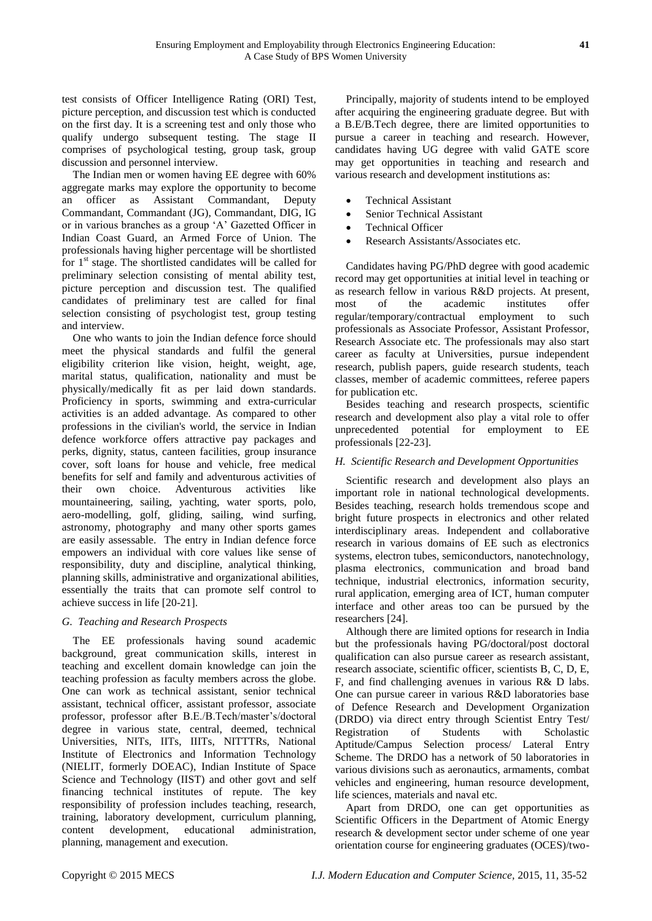test consists of Officer Intelligence Rating (ORI) Test, picture perception, and discussion test which is conducted on the first day. It is a screening test and only those who qualify undergo subsequent testing. The stage II comprises of psychological testing, group task, group discussion and personnel interview.

The Indian men or women having EE degree with 60% aggregate marks may explore the opportunity to become an officer as Assistant Commandant, Deputy Commandant, Commandant (JG), Commandant, DIG, IG or in various branches as a group 'A' Gazetted Officer in Indian Coast Guard, an Armed Force of Union. The professionals having higher percentage will be shortlisted for  $1<sup>st</sup>$  stage. The shortlisted candidates will be called for preliminary selection consisting of mental ability test, picture perception and discussion test. The qualified candidates of preliminary test are called for final selection consisting of psychologist test, group testing and interview.

One who wants to join the Indian defence force should meet the physical standards and fulfil the general eligibility criterion like vision, height, weight, age, marital status, qualification, nationality and must be physically/medically fit as per laid down standards. Proficiency in sports, swimming and extra-curricular activities is an added advantage. As compared to other professions in the civilian's world, the service in Indian defence workforce offers attractive pay packages and perks, dignity, status, canteen facilities, group insurance cover, soft loans for house and vehicle, free medical benefits for self and family and adventurous activities of their own choice. Adventurous activities like mountaineering, sailing, yachting, water sports, polo, aero-modelling, golf, gliding, sailing, wind surfing, astronomy, photography and many other sports games are easily assessable. The entry in Indian defence force empowers an individual with core values like sense of responsibility, duty and discipline, analytical thinking, planning skills, administrative and organizational abilities, essentially the traits that can promote self control to achieve success in life [20-21].

# *G. Teaching and Research Prospects*

The EE professionals having sound academic background, great communication skills, interest in teaching and excellent domain knowledge can join the teaching profession as faculty members across the globe. One can work as technical assistant, senior technical assistant, technical officer, assistant professor, associate professor, professor after B.E./B.Tech/master's/doctoral degree in various state, central, deemed, technical Universities, NITs, IITs, IIITs, NITTTRs, National Institute of Electronics and Information Technology (NIELIT, formerly DOEAC), Indian Institute of Space Science and Technology (IIST) and other govt and self financing technical institutes of repute. The key responsibility of profession includes teaching, research, training, laboratory development, curriculum planning, content development, educational administration, planning, management and execution.

Principally, majority of students intend to be employed after acquiring the engineering graduate degree. But with a B.E/B.Tech degree, there are limited opportunities to pursue a career in teaching and research. However, candidates having UG degree with valid GATE score may get opportunities in teaching and research and various research and development institutions as:

- Technical Assistant
- Senior Technical Assistant
- Technical Officer
- Research Assistants/Associates etc.

Candidates having PG/PhD degree with good academic record may get opportunities at initial level in teaching or as research fellow in various R&D projects. At present, most of the academic institutes offer regular/temporary/contractual employment to such professionals as Associate Professor, Assistant Professor, Research Associate etc. The professionals may also start career as faculty at Universities, pursue independent research, publish papers, guide research students, teach classes, member of academic committees, referee papers for publication etc.

Besides teaching and research prospects, scientific research and development also play a vital role to offer unprecedented potential for employment to EE professionals [22-23].

## *H. Scientific Research and Development Opportunities*

Scientific research and development also plays an important role in national technological developments. Besides teaching, research holds tremendous scope and bright future prospects in electronics and other related interdisciplinary areas. Independent and collaborative research in various domains of EE such as electronics systems, electron tubes, semiconductors, nanotechnology, plasma electronics, communication and broad band technique, industrial electronics, information security, rural application, emerging area of ICT, human computer interface and other areas too can be pursued by the researchers [24].

Although there are limited options for research in India but the professionals having PG/doctoral/post doctoral qualification can also pursue career as research assistant, research associate, scientific officer, scientists B, C, D, E, F, and find challenging avenues in various R& D labs. One can pursue career in various R&D laboratories base of Defence Research and Development Organization (DRDO) via direct entry through Scientist Entry Test/ Registration of Students with Scholastic Aptitude/Campus Selection process/ Lateral Entry Scheme. The DRDO has a network of 50 laboratories in various divisions such as aeronautics, armaments, combat vehicles and engineering, human resource development, life sciences, materials and naval etc.

Apart from DRDO, one can get opportunities as Scientific Officers in the Department of Atomic Energy research & development sector under scheme of one year orientation course for engineering graduates (OCES)/two-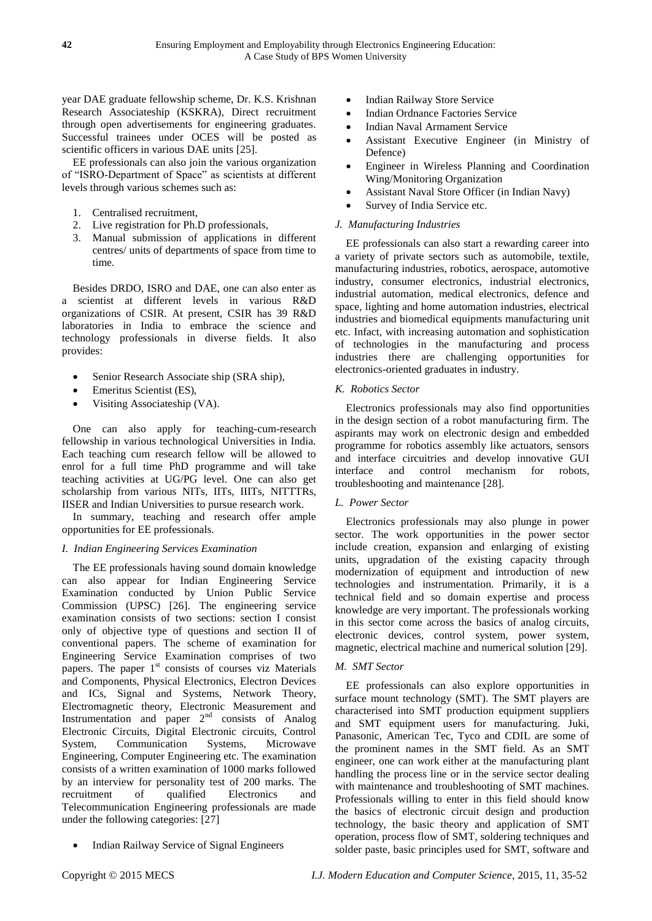year DAE graduate fellowship scheme, Dr. K.S. Krishnan Research Associateship (KSKRA), Direct recruitment through open advertisements for engineering graduates. Successful trainees under OCES will be posted as scientific officers in various DAE units [25].

EE professionals can also join the various organization of "ISRO-Department of Space" as scientists at different levels through various schemes such as:

- 1. Centralised recruitment,
- 2. Live registration for Ph.D professionals,
- 3. Manual submission of applications in different centres/ units of departments of space from time to time.

Besides DRDO, ISRO and DAE, one can also enter as a scientist at different levels in various R&D organizations of CSIR. At present, CSIR has 39 R&D laboratories in India to embrace the science and technology professionals in diverse fields. It also provides:

- Senior Research Associate ship (SRA ship),
- Emeritus Scientist (ES),
- Visiting Associateship (VA).

One can also apply for teaching-cum-research fellowship in various technological Universities in India. Each teaching cum research fellow will be allowed to enrol for a full time PhD programme and will take teaching activities at UG/PG level. One can also get scholarship from various NITs, IITs, IIITs, NITTTRs, IISER and Indian Universities to pursue research work.

In summary, teaching and research offer ample opportunities for EE professionals.

## *I. Indian Engineering Services Examination*

The EE professionals having sound domain knowledge can also appear for Indian Engineering Service Examination conducted by Union Public Service Commission (UPSC) [26]. The engineering service examination consists of two sections: section I consist only of objective type of questions and section II of conventional papers. The scheme of examination for Engineering Service Examination comprises of two papers. The paper  $1<sup>st</sup>$  consists of courses viz Materials and Components, Physical Electronics, Electron Devices and ICs, Signal and Systems, Network Theory, Electromagnetic theory, Electronic Measurement and Instrumentation and paper  $2<sup>nd</sup>$  consists of Analog Electronic Circuits, Digital Electronic circuits, Control System, Communication Systems, Microwave Engineering, Computer Engineering etc. The examination consists of a written examination of 1000 marks followed by an interview for personality test of 200 marks. The recruitment of qualified Electronics and Telecommunication Engineering professionals are made under the following categories: [27]

Indian Railway Service of Signal Engineers

- Indian Railway Store Service
- Indian Ordnance Factories Service
- Indian Naval Armament Service
- Assistant Executive Engineer (in Ministry of Defence)
- Engineer in Wireless Planning and Coordination Wing/Monitoring Organization
- Assistant Naval Store Officer (in Indian Navy)
- Survey of India Service etc.

# *J. Manufacturing Industries*

EE professionals can also start a rewarding career into a variety of private sectors such as automobile, textile, manufacturing industries, robotics, aerospace, automotive industry, consumer electronics, industrial electronics, industrial automation, medical electronics, defence and space, lighting and home automation industries, electrical industries and biomedical equipments manufacturing unit etc. Infact, with increasing automation and sophistication of technologies in the manufacturing and process industries there are challenging opportunities for electronics-oriented graduates in industry.

## *K. Robotics Sector*

Electronics professionals may also find opportunities in the design section of a robot manufacturing firm. The aspirants may work on electronic design and embedded programme for robotics assembly like actuators, sensors and interface circuitries and develop innovative GUI interface and control mechanism for robots, troubleshooting and maintenance [28].

## *L. Power Sector*

Electronics professionals may also plunge in power sector. The work opportunities in the power sector include creation, expansion and enlarging of existing units, upgradation of the existing capacity through modernization of equipment and introduction of new technologies and instrumentation. Primarily, it is a technical field and so domain expertise and process knowledge are very important. The professionals working in this sector come across the basics of analog circuits, electronic devices, control system, power system, magnetic, electrical machine and numerical solution [29].

## *M. SMT Sector*

EE professionals can also explore opportunities in surface mount technology (SMT). The SMT players are characterised into SMT production equipment suppliers and SMT equipment users for manufacturing. Juki, Panasonic, American Tec, Tyco and CDIL are some of the prominent names in the SMT field. As an SMT engineer, one can work either at the manufacturing plant handling the process line or in the service sector dealing with maintenance and troubleshooting of SMT machines. Professionals willing to enter in this field should know the basics of electronic circuit design and production technology, the basic theory and application of SMT operation, process flow of SMT, soldering techniques and solder paste, basic principles used for SMT, software and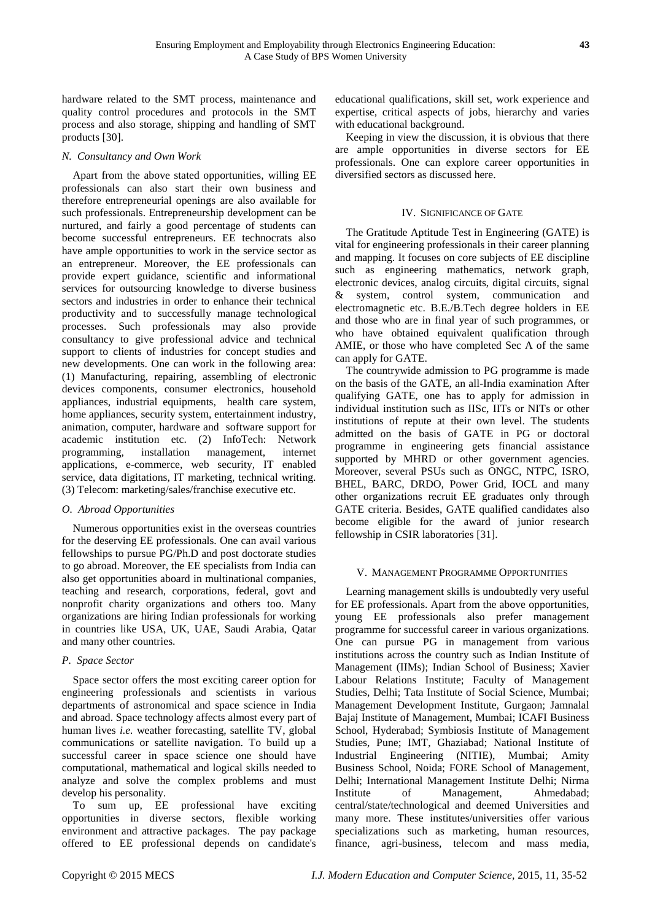hardware related to the SMT process, maintenance and quality control procedures and protocols in the SMT process and also storage, shipping and handling of SMT products [30].

## *N. Consultancy and Own Work*

Apart from the above stated opportunities, willing EE professionals can also start their own business and therefore entrepreneurial openings are also available for such professionals. Entrepreneurship development can be nurtured, and fairly a good percentage of students can become successful entrepreneurs. EE technocrats also have ample opportunities to work in the service sector as an entrepreneur. Moreover, the EE professionals can provide expert guidance, scientific and informational services for outsourcing knowledge to diverse business sectors and industries in order to enhance their technical productivity and to successfully manage technological processes. Such professionals may also provide consultancy to give professional advice and technical support to clients of industries for concept studies and new developments. One can work in the following area: (1) Manufacturing, repairing, assembling of electronic devices components, consumer electronics, household appliances, industrial equipments, health care system, home appliances, security system, entertainment industry, animation, computer, hardware and software support for academic institution etc. (2) InfoTech: Network programming, installation management, internet applications, e-commerce, web security, IT enabled service, data digitations, IT marketing, technical writing. (3) Telecom: marketing/sales/franchise executive etc.

## *O. Abroad Opportunities*

Numerous opportunities exist in the overseas countries for the deserving EE professionals. One can avail various fellowships to pursue PG/Ph.D and post doctorate studies to go abroad. Moreover, the EE specialists from India can also get opportunities aboard in multinational companies, teaching and research, corporations, federal, govt and nonprofit charity organizations and others too. Many organizations are hiring Indian professionals for working in countries like USA, UK, UAE, Saudi Arabia, Qatar and many other countries.

# *P. Space Sector*

Space sector offers the most exciting career option for engineering professionals and scientists in various departments of astronomical and space science in India and abroad. Space technology affects almost every part of human lives *i.e.* weather forecasting, satellite TV, global communications or satellite navigation. To build up a successful career in space science one should have computational, mathematical and logical skills needed to analyze and solve the complex problems and must develop his personality.

To sum up, EE professional have exciting opportunities in diverse sectors, flexible working environment and attractive packages. The pay package offered to EE professional depends on candidate's educational qualifications, skill set, work experience and expertise, critical aspects of jobs, hierarchy and varies with educational background.

Keeping in view the discussion, it is obvious that there are ample opportunities in diverse sectors for EE professionals. One can explore career opportunities in diversified sectors as discussed here.

# IV. SIGNIFICANCE OF GATE

The Gratitude Aptitude Test in Engineering (GATE) is vital for engineering professionals in their career planning and mapping. It focuses on core subjects of EE discipline such as engineering mathematics, network graph, electronic devices, analog circuits, digital circuits, signal & system, control system, communication and electromagnetic etc. B.E./B.Tech degree holders in EE and those who are in final year of such programmes, or who have obtained equivalent qualification through AMIE, or those who have completed Sec A of the same can apply for GATE.

The countrywide admission to PG programme is made on the basis of the GATE, an all-India examination After qualifying GATE, one has to apply for admission in individual institution such as IISc, IITs or NITs or other institutions of repute at their own level. The students admitted on the basis of GATE in PG or doctoral programme in engineering gets financial assistance supported by MHRD or other government agencies. Moreover, several PSUs such as ONGC, NTPC, ISRO, BHEL, BARC, DRDO, Power Grid, IOCL and many other organizations recruit EE graduates only through GATE criteria. Besides, GATE qualified candidates also become eligible for the award of junior research fellowship in CSIR laboratories [31].

## V. MANAGEMENT PROGRAMME OPPORTUNITIES

Learning management skills is undoubtedly very useful for EE professionals. Apart from the above opportunities, young EE professionals also prefer management programme for successful career in various organizations. One can pursue PG in management from various institutions across the country such as Indian Institute of Management (IIMs); Indian School of Business; Xavier Labour Relations Institute; Faculty of Management Studies, Delhi; Tata Institute of Social Science, Mumbai; Management Development Institute, Gurgaon; Jamnalal Bajaj Institute of Management, Mumbai; ICAFI Business School, Hyderabad; Symbiosis Institute of Management Studies, Pune; IMT, Ghaziabad; National Institute of Industrial Engineering (NITIE), Mumbai; Amity Business School, Noida; FORE School of Management, Delhi; International Management Institute Delhi; Nirma Institute of Management, Ahmedabad; central/state/technological and deemed Universities and many more. These institutes/universities offer various specializations such as marketing, human resources, finance, agri-business, telecom and mass media,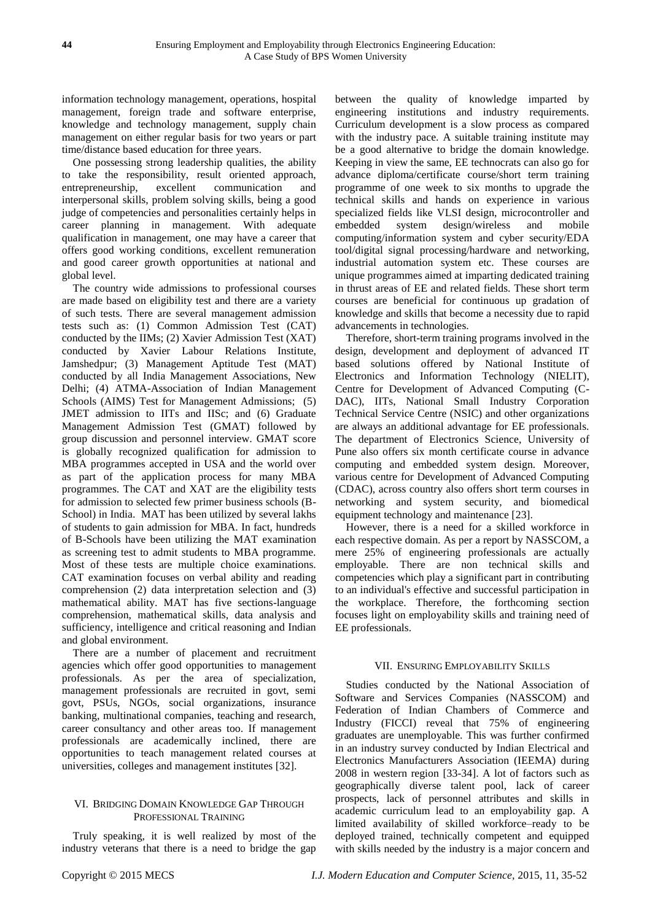information technology management, operations, hospital management, foreign trade and software enterprise, knowledge and technology management, supply chain management on either regular basis for two years or part time/distance based education for three years.

One possessing strong leadership qualities, the ability to take the responsibility, result oriented approach, entrepreneurship, excellent communication and interpersonal skills, problem solving skills, being a good judge of competencies and personalities certainly helps in career planning in management. With adequate qualification in management, one may have a career that offers good working conditions, excellent remuneration and good career growth opportunities at national and global level.

The country wide admissions to professional courses are made based on eligibility test and there are a variety of such tests. There are several management admission tests such as: (1) Common Admission Test (CAT) conducted by the IIMs; (2) Xavier Admission Test (XAT) conducted by Xavier Labour Relations Institute, Jamshedpur; (3) Management Aptitude Test (MAT) conducted by all India Management Associations, New Delhi; (4) ATMA-Association of Indian Management Schools (AIMS) Test for Management Admissions; (5) JMET admission to IITs and IISc; and (6) Graduate Management Admission Test (GMAT) followed by group discussion and personnel interview. GMAT score is globally recognized qualification for admission to MBA programmes accepted in USA and the world over as part of the application process for many MBA programmes. The CAT and XAT are the eligibility tests for admission to selected few primer business schools (B-School) in India. MAT has been utilized by several lakhs of students to gain admission for MBA. In fact, hundreds of B-Schools have been utilizing the MAT examination as screening test to admit students to MBA programme. Most of these tests are multiple choice examinations. CAT examination focuses on verbal ability and reading comprehension (2) data interpretation selection and (3) mathematical ability. MAT has five sections-language comprehension, mathematical skills, data analysis and sufficiency, intelligence and critical reasoning and Indian and global environment.

There are a number of placement and recruitment agencies which offer good opportunities to management professionals. As per the area of specialization, management professionals are recruited in govt, semi govt, PSUs, NGOs, social organizations, insurance banking, multinational companies, teaching and research, career consultancy and other areas too. If management professionals are academically inclined, there are opportunities to teach management related courses at universities, colleges and management institutes [32].

## VI. BRIDGING DOMAIN KNOWLEDGE GAP THROUGH PROFESSIONAL TRAINING

Truly speaking, it is well realized by most of the industry veterans that there is a need to bridge the gap between the quality of knowledge imparted by engineering institutions and industry requirements. Curriculum development is a slow process as compared with the industry pace. A suitable training institute may be a good alternative to bridge the domain knowledge. Keeping in view the same, EE technocrats can also go for advance diploma/certificate course/short term training programme of one week to six months to upgrade the technical skills and hands on experience in various specialized fields like VLSI design, microcontroller and embedded system design/wireless and mobile computing/information system and cyber security/EDA tool/digital signal processing/hardware and networking, industrial automation system etc. These courses are unique programmes aimed at imparting dedicated training in thrust areas of EE and related fields. These short term courses are beneficial for continuous up gradation of knowledge and skills that become a necessity due to rapid advancements in technologies.

Therefore, short-term training programs involved in the design, development and deployment of advanced IT based solutions offered by National Institute of Electronics and Information Technology (NIELIT), Centre for Development of Advanced Computing (C-DAC), IITs, National Small Industry Corporation Technical Service Centre (NSIC) and other organizations are always an additional advantage for EE professionals. The department of Electronics Science, University of Pune also offers six month certificate course in advance computing and embedded system design. Moreover, various centre for Development of Advanced Computing (CDAC), across country also offers short term courses in networking and system security, and biomedical equipment technology and maintenance [23].

However, there is a need for a skilled workforce in each respective domain. As per a report by NASSCOM, a mere 25% of engineering professionals are actually employable. There are non technical skills and competencies which play a significant part in contributing to an individual's effective and successful participation in the workplace. Therefore, the forthcoming section focuses light on employability skills and training need of EE professionals.

## VII. ENSURING EMPLOYABILITY SKILLS

Studies conducted by the National Association of Software and Services Companies (NASSCOM) and Federation of Indian Chambers of Commerce and Industry (FICCI) reveal that 75% of engineering graduates are unemployable. This was further confirmed in an industry survey conducted by Indian Electrical and Electronics Manufacturers Association (IEEMA) during 2008 in western region [33-34]. A lot of factors such as geographically diverse talent pool, lack of career prospects, lack of personnel attributes and skills in academic curriculum lead to an employability gap. A limited availability of skilled workforce–ready to be deployed trained, technically competent and equipped with skills needed by the industry is a major concern and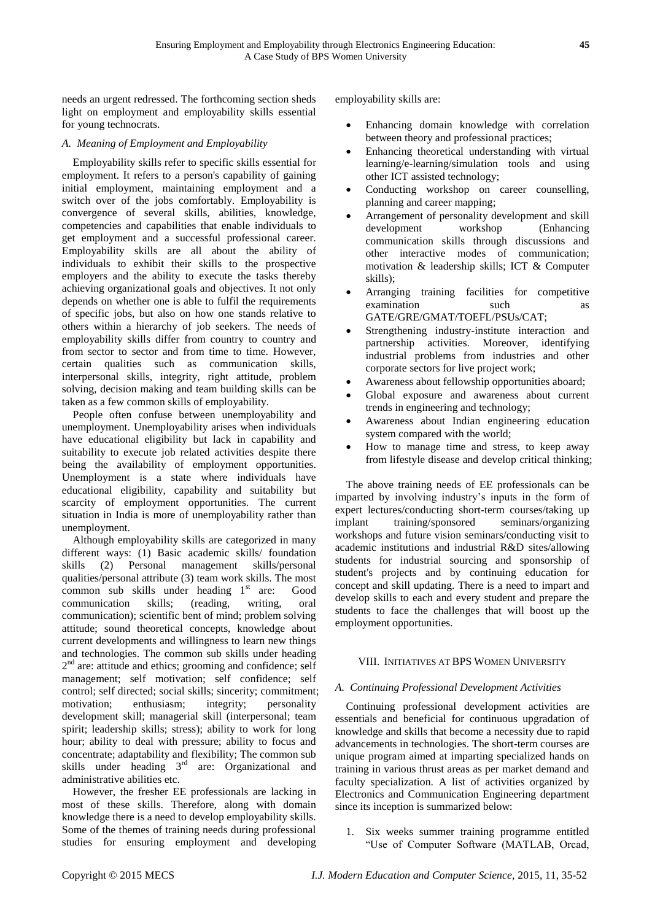needs an urgent redressed. The forthcoming section sheds light on employment and employability skills essential

# *A. Meaning of Employment and Employability*

for young technocrats.

Employability skills refer to specific skills essential for employment. It refers to a person's capability of gaining initial employment, maintaining employment and a switch over of the jobs comfortably. Employability is convergence of several skills, abilities, knowledge, competencies and capabilities that enable individuals to get employment and a successful professional career. Employability skills are all about the ability of individuals to exhibit their skills to the prospective employers and the ability to execute the tasks thereby achieving organizational goals and objectives. It not only depends on whether one is able to fulfil the requirements of specific jobs, but also on how one stands relative to others within a hierarchy of job seekers. The needs of employability skills differ from country to country and from sector to sector and from time to time. However, certain qualities such as communication skills, interpersonal skills, integrity, right attitude, problem solving, decision making and team building skills can be taken as a few common skills of employability.

People often confuse between unemployability and unemployment. Unemployability arises when individuals have educational eligibility but lack in capability and suitability to execute job related activities despite there being the availability of employment opportunities. Unemployment is a state where individuals have educational eligibility, capability and suitability but scarcity of employment opportunities. The current situation in India is more of unemployability rather than unemployment.

Although employability skills are categorized in many different ways: (1) Basic academic skills/ foundation skills (2) Personal management skills/personal qualities/personal attribute (3) team work skills. The most common sub skills under heading  $1<sup>st</sup>$  are: Good communication skills; (reading, writing, oral communication); scientific bent of mind; problem solving attitude; sound theoretical concepts, knowledge about current developments and willingness to learn new things and technologies. The common sub skills under heading 2<sup>nd</sup> are: attitude and ethics; grooming and confidence; self management; self motivation; self confidence; self control; self directed; social skills; sincerity; commitment; motivation; enthusiasm; integrity; personality development skill; managerial skill (interpersonal; team spirit; leadership skills; stress); ability to work for long hour; ability to deal with pressure; ability to focus and concentrate; adaptability and flexibility; The common sub skills under heading 3rd are: Organizational and administrative abilities etc.

However, the fresher EE professionals are lacking in most of these skills. Therefore, along with domain knowledge there is a need to develop employability skills. Some of the themes of training needs during professional studies for ensuring employment and developing employability skills are:

- Enhancing domain knowledge with correlation between theory and professional practices;
- Enhancing theoretical understanding with virtual learning/e-learning/simulation tools and using other ICT assisted technology;
- Conducting workshop on career counselling, planning and career mapping;
- Arrangement of personality development and skill development workshop (Enhancing communication skills through discussions and other interactive modes of communication; motivation & leadership skills; ICT & Computer skills);
- Arranging training facilities for competitive examination such as GATE/GRE/GMAT/TOEFL/PSUs/CAT;
- Strengthening industry-institute interaction and partnership activities. Moreover, identifying industrial problems from industries and other corporate sectors for live project work;
- Awareness about fellowship opportunities aboard;
- Global exposure and awareness about current trends in engineering and technology;
- Awareness about Indian engineering education system compared with the world;
- How to manage time and stress, to keep away from lifestyle disease and develop critical thinking;

The above training needs of EE professionals can be imparted by involving industry's inputs in the form of expert lectures/conducting short-term courses/taking up implant training/sponsored seminars/organizing workshops and future vision seminars/conducting visit to academic institutions and industrial R&D sites/allowing students for industrial sourcing and sponsorship of student's projects and by continuing education for concept and skill updating. There is a need to impart and develop skills to each and every student and prepare the students to face the challenges that will boost up the employment opportunities.

#### VIII. INITIATIVES AT BPS WOMEN UNIVERSITY

#### *A. Continuing Professional Development Activities*

Continuing professional development activities are essentials and beneficial for continuous upgradation of knowledge and skills that become a necessity due to rapid advancements in technologies. The short-term courses are unique program aimed at imparting specialized hands on training in various thrust areas as per market demand and faculty specialization. A list of activities organized by Electronics and Communication Engineering department since its inception is summarized below:

1. Six weeks summer training programme entitled ―Use of Computer Software (MATLAB, Orcad,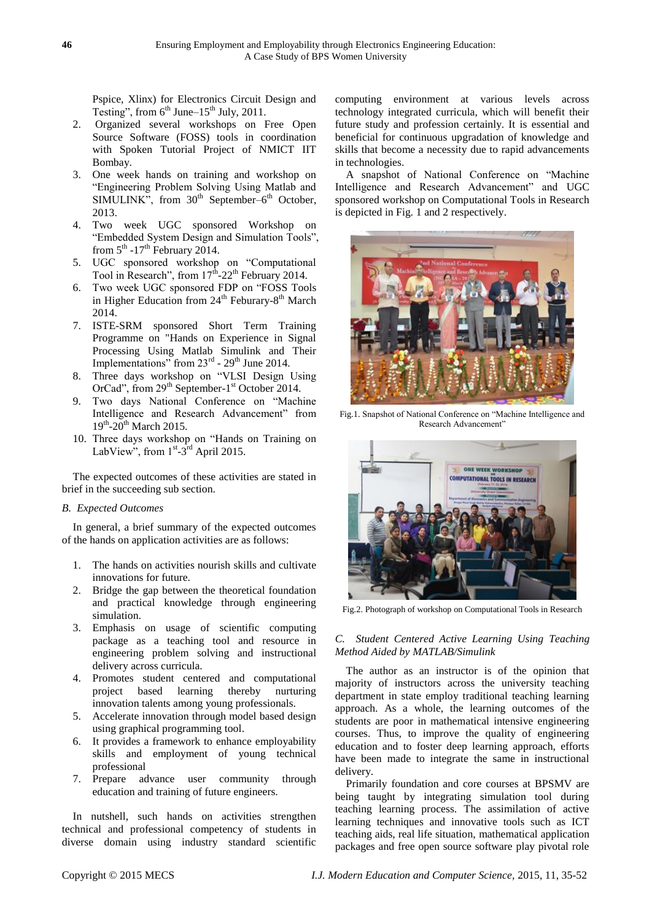Pspice, Xlinx) for Electronics Circuit Design and Testing", from  $6^{th}$  June– $15^{th}$  July, 2011.

- 2. Organized several workshops on Free Open Source Software (FOSS) tools in coordination with Spoken Tutorial Project of NMICT IIT Bombay.
- 3. One week hands on training and workshop on ―Engineering Problem Solving Using Matlab and SIMULINK", from  $30<sup>th</sup>$  September– $6<sup>th</sup>$  October, 2013.
- 4. Two week UGC sponsored Workshop on "Embedded System Design and Simulation Tools", from  $5^{\text{th}}$  -17<sup>th</sup> February 2014.
- 5. UGC sponsored workshop on "Computational Tool in Research", from  $17^{\text{th}}$ -22<sup>th</sup> February 2014.
- 6. Two week UGC sponsored FDP on "FOSS Tools" in Higher Education from 24<sup>th</sup> Feburary-8<sup>th</sup> March 2014.
- 7. ISTE-SRM sponsored Short Term Training Programme on "Hands on Experience in Signal Processing Using Matlab Simulink and Their Implementations" from  $23<sup>rd</sup>$  -  $29<sup>th</sup>$  June 2014.
- 8. Three days workshop on "VLSI Design Using OrCad", from 29<sup>th</sup> September-1<sup>st</sup> October 2014.
- 9. Two days National Conference on "Machine" Intelligence and Research Advancement" from 19<sup>th</sup>-20<sup>th</sup> March 2015.
- 10. Three days workshop on "Hands on Training on LabView", from  $1<sup>st</sup> - 3<sup>rd</sup>$  April 2015.

The expected outcomes of these activities are stated in brief in the succeeding sub section.

#### *B. Expected Outcomes*

In general, a brief summary of the expected outcomes of the hands on application activities are as follows:

- 1. The hands on activities nourish skills and cultivate innovations for future.
- 2. Bridge the gap between the theoretical foundation and practical knowledge through engineering simulation.
- 3. Emphasis on usage of scientific computing package as a teaching tool and resource in engineering problem solving and instructional delivery across curricula.
- 4. Promotes student centered and computational project based learning thereby nurturing innovation talents among young professionals.
- 5. Accelerate innovation through model based design using graphical programming tool.
- 6. It provides a framework to enhance employability skills and employment of young technical professional
- 7. Prepare advance user community through education and training of future engineers.

In nutshell, such hands on activities strengthen technical and professional competency of students in diverse domain using industry standard scientific

computing environment at various levels across technology integrated curricula, which will benefit their future study and profession certainly. It is essential and beneficial for continuous upgradation of knowledge and skills that become a necessity due to rapid advancements in technologies.

A snapshot of National Conference on "Machine" Intelligence and Research Advancement" and UGC sponsored workshop on Computational Tools in Research is depicted in Fig. 1 and 2 respectively.



Fig.1. Snapshot of National Conference on "Machine Intelligence and Research Advancement"



Fig.2. Photograph of workshop on Computational Tools in Research

## *C. Student Centered Active Learning Using Teaching Method Aided by MATLAB/Simulink*

The author as an instructor is of the opinion that majority of instructors across the university teaching department in state employ traditional teaching learning approach. As a whole, the learning outcomes of the students are poor in mathematical intensive engineering courses. Thus, to improve the quality of engineering education and to foster deep learning approach, efforts have been made to integrate the same in instructional delivery.

Primarily foundation and core courses at BPSMV are being taught by integrating simulation tool during teaching learning process. The assimilation of active learning techniques and innovative tools such as ICT teaching aids, real life situation, mathematical application packages and free open source software play pivotal role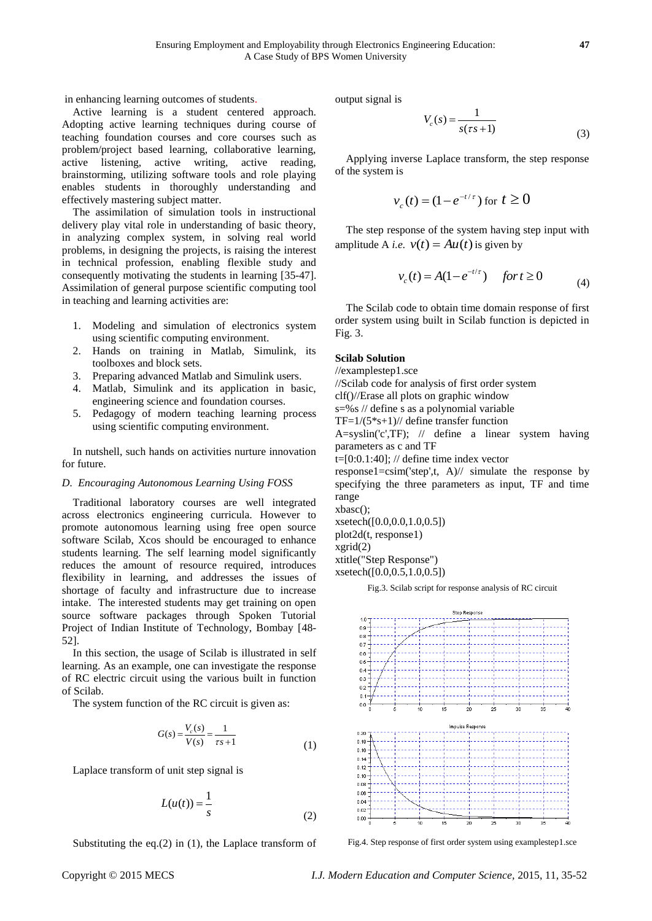in enhancing learning outcomes of students.

Active learning is a student centered approach. Adopting active learning techniques during course of teaching foundation courses and core courses such as problem/project based learning, collaborative learning, active listening, active writing, active reading, brainstorming, utilizing software tools and role playing enables students in thoroughly understanding and effectively mastering subject matter.

The assimilation of simulation tools in instructional delivery play vital role in understanding of basic theory, in analyzing complex system, in solving real world problems, in designing the projects, is raising the interest in technical profession, enabling flexible study and consequently motivating the students in learning [35-47]. Assimilation of general purpose scientific computing tool in teaching and learning activities are:

- 1. Modeling and simulation of electronics system using scientific computing environment.
- 2. Hands on training in Matlab, Simulink, its toolboxes and block sets.
- 3. Preparing advanced Matlab and Simulink users.
- 4. Matlab, Simulink and its application in basic, engineering science and foundation courses.
- 5. Pedagogy of modern teaching learning process using scientific computing environment.

In nutshell, such hands on activities nurture innovation for future.

#### *D. Encouraging Autonomous Learning Using FOSS*

Traditional laboratory courses are well integrated across electronics engineering curricula. However to promote autonomous learning using free open source software Scilab, Xcos should be encouraged to enhance students learning. The self learning model significantly reduces the amount of resource required, introduces flexibility in learning, and addresses the issues of shortage of faculty and infrastructure due to increase intake. The interested students may get training on open source software packages through Spoken Tutorial Project of Indian Institute of Technology, Bombay [48- 52].

In this section, the usage of Scilab is illustrated in self learning. As an example, one can investigate the response of RC electric circuit using the various built in function of Scilab.

The system function of the RC circuit is given as:

$$
G(s) = \frac{V_c(s)}{V(s)} = \frac{1}{\tau s + 1}
$$
 (1)

Laplace transform of unit step signal is

$$
L(u(t)) = \frac{1}{s}
$$
 (2)

Substituting the eq. $(2)$  in  $(1)$ , the Laplace transform of

output signal is

$$
V_c(s) = \frac{1}{s(\tau s + 1)}
$$
\n(3)

Applying inverse Laplace transform, the step response of the system is

$$
v_c(t) = (1 - e^{-t/\tau})
$$
 for  $t \ge 0$ 

The step response of the system having step input with amplitude A *i.e.*  $v(t) = Au(t)$  is given by

$$
v_c(t) = A(1 - e^{-t/\tau})
$$
 for  $t \ge 0$  (4)

The Scilab code to obtain time domain response of first order system using built in Scilab function is depicted in Fig. 3.

#### **Scilab Solution**

//examplestep1.sce

//Scilab code for analysis of first order system

clf()//Erase all plots on graphic window

s=%s // define s as a polynomial variable

 $TF=1/(5*s+1)/7$  define transfer function

A=syslin('c',TF); // define a linear system having parameters as c and TF

t= $[0:0.1:40]$ ; // define time index vector

response1=csim('step',t, A)// simulate the response by specifying the three parameters as input, TF and time range

xbasc(); xsetech([0.0,0.0,1.0,0.5]) plot2d(t, response1) xgrid(2) xtitle("Step Response")

xsetech([0.0,0.5,1.0,0.5])

Fig.3. Scilab script for response analysis of RC circuit



Fig.4. Step response of first order system using examplestep1.sce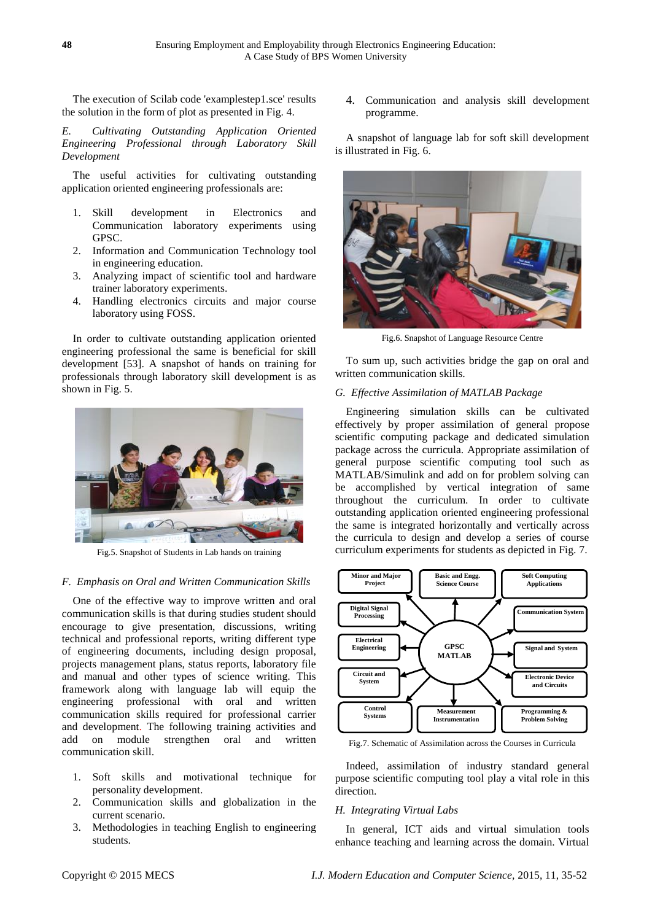The execution of Scilab code 'examplestep1.sce' results the solution in the form of plot as presented in Fig. 4.

*E. Cultivating Outstanding Application Oriented Engineering Professional through Laboratory Skill Development*

The useful activities for cultivating outstanding application oriented engineering professionals are:

- 1. Skill development in Electronics and Communication laboratory experiments using GPSC.
- 2. Information and Communication Technology tool in engineering education.
- 3. Analyzing impact of scientific tool and hardware trainer laboratory experiments.
- 4. Handling electronics circuits and major course laboratory using FOSS.

In order to cultivate outstanding application oriented engineering professional the same is beneficial for skill development [53]. A snapshot of hands on training for professionals through laboratory skill development is as shown in Fig. 5.



Fig.5. Snapshot of Students in Lab hands on training

#### *F. Emphasis on Oral and Written Communication Skills*

One of the effective way to improve written and oral communication skills is that during studies student should encourage to give presentation, discussions, writing technical and professional reports, writing different type of engineering documents, including design proposal, projects management plans, status reports, laboratory file and manual and other types of science writing. This framework along with language lab will equip the engineering professional with oral and written communication skills required for professional carrier and development. The following training activities and add on module strengthen oral and written communication skill.

- 1. Soft skills and motivational technique for personality development.
- 2. Communication skills and globalization in the current scenario.
- 3. Methodologies in teaching English to engineering students.

4. Communication and analysis skill development programme.

A snapshot of language lab for soft skill development is illustrated in Fig. 6.



Fig.6. Snapshot of Language Resource Centre

To sum up, such activities bridge the gap on oral and written communication skills.

#### *G. Effective Assimilation of MATLAB Package*

Engineering simulation skills can be cultivated effectively by proper assimilation of general propose scientific computing package and dedicated simulation package across the curricula. Appropriate assimilation of general purpose scientific computing tool such as MATLAB/Simulink and add on for problem solving can be accomplished by vertical integration of same throughout the curriculum. In order to cultivate outstanding application oriented engineering professional the same is integrated horizontally and vertically across the curricula to design and develop a series of course curriculum experiments for students as depicted in Fig. 7.



Fig.7. Schematic of Assimilation across the Courses in Curricula

Indeed, assimilation of industry standard general purpose scientific computing tool play a vital role in this direction.

#### *H. Integrating Virtual Labs*

In general, ICT aids and virtual simulation tools enhance teaching and learning across the domain. Virtual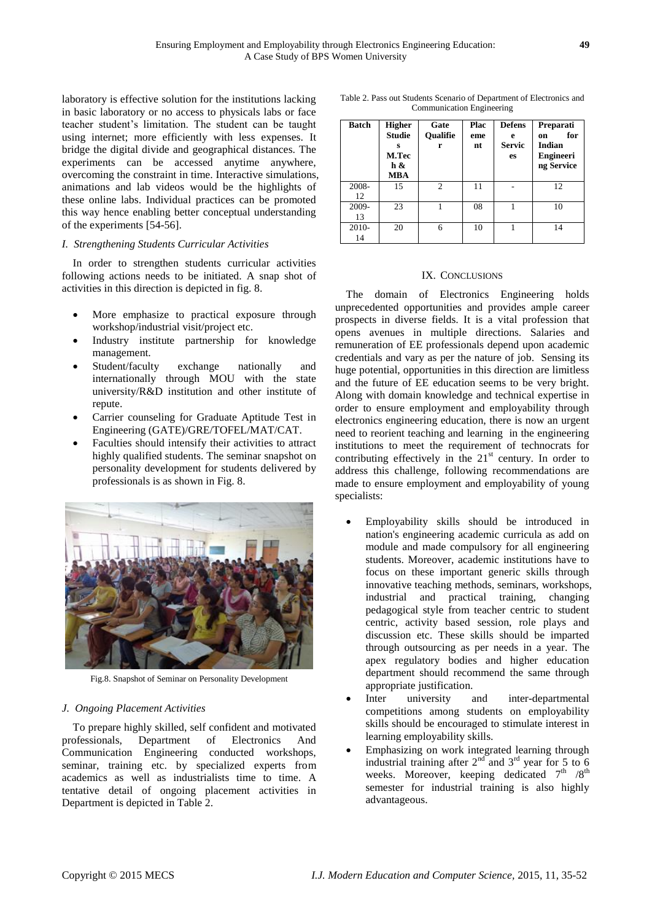laboratory is effective solution for the institutions lacking in basic laboratory or no access to physicals labs or face teacher student's limitation. The student can be taught using internet; more efficiently with less expenses. It bridge the digital divide and geographical distances. The experiments can be accessed anytime anywhere, overcoming the constraint in time. Interactive simulations, animations and lab videos would be the highlights of these online labs. Individual practices can be promoted this way hence enabling better conceptual understanding of the experiments [54-56].

#### *I. Strengthening Students Curricular Activities*

In order to strengthen students curricular activities following actions needs to be initiated. A snap shot of activities in this direction is depicted in fig. 8.

- More emphasize to practical exposure through workshop/industrial visit/project etc.
- Industry institute partnership for knowledge management.
- Student/faculty exchange nationally and internationally through MOU with the state university/R&D institution and other institute of repute.
- Carrier counseling for Graduate Aptitude Test in Engineering (GATE)/GRE/TOFEL/MAT/CAT.
- Faculties should intensify their activities to attract highly qualified students. The seminar snapshot on personality development for students delivered by professionals is as shown in Fig. 8.



Fig.8. Snapshot of Seminar on Personality Development

## *J. Ongoing Placement Activities*

To prepare highly skilled, self confident and motivated professionals, Department of Electronics And Communication Engineering conducted workshops, seminar, training etc. by specialized experts from academics as well as industrialists time to time. A tentative detail of ongoing placement activities in Department is depicted in Table 2.

Table 2. Pass out Students Scenario of Department of Electronics and Communication Engineering

| <b>Batch</b>  | <b>Higher</b><br>Studie<br>s<br>M.Tec<br>h &<br>MBA | Gate<br><b>Oualifie</b><br>r | Plac<br>eme<br>nt | <b>Defens</b><br>e<br>Servic<br>es | Preparati<br>for<br>on<br>Indian<br><b>Engineeri</b><br>ng Service |
|---------------|-----------------------------------------------------|------------------------------|-------------------|------------------------------------|--------------------------------------------------------------------|
| 2008-<br>12   | 15                                                  | $\overline{c}$               | 11                |                                    | 12                                                                 |
| 2009-<br>13   | 23                                                  |                              | 08                |                                    | 10                                                                 |
| $2010-$<br>14 | 20                                                  | 6                            | 10                |                                    | 14                                                                 |

#### IX. CONCLUSIONS

The domain of Electronics Engineering holds unprecedented opportunities and provides ample career prospects in diverse fields. It is a vital profession that opens avenues in multiple directions. Salaries and remuneration of EE professionals depend upon academic credentials and vary as per the nature of job. Sensing its huge potential, opportunities in this direction are limitless and the future of EE education seems to be very bright. Along with domain knowledge and technical expertise in order to ensure employment and employability through electronics engineering education, there is now an urgent need to reorient teaching and learning in the engineering institutions to meet the requirement of technocrats for contributing effectively in the  $21<sup>st</sup>$  century. In order to address this challenge, following recommendations are made to ensure employment and employability of young specialists:

- Employability skills should be introduced in nation's engineering academic curricula as add on module and made compulsory for all engineering students. Moreover, academic institutions have to focus on these important generic skills through innovative teaching methods, seminars, workshops, industrial and practical training, changing pedagogical style from teacher centric to student centric, activity based session, role plays and discussion etc. These skills should be imparted through outsourcing as per needs in a year. The apex regulatory bodies and higher education department should recommend the same through appropriate justification.
- Inter university and inter-departmental competitions among students on employability skills should be encouraged to stimulate interest in learning employability skills.
- Emphasizing on work integrated learning through industrial training after  $2<sup>nd</sup>$  and  $3<sup>rd</sup>$  year for 5 to 6 weeks. Moreover, keeping dedicated  $7<sup>th</sup>$  /8<sup>th</sup> semester for industrial training is also highly advantageous.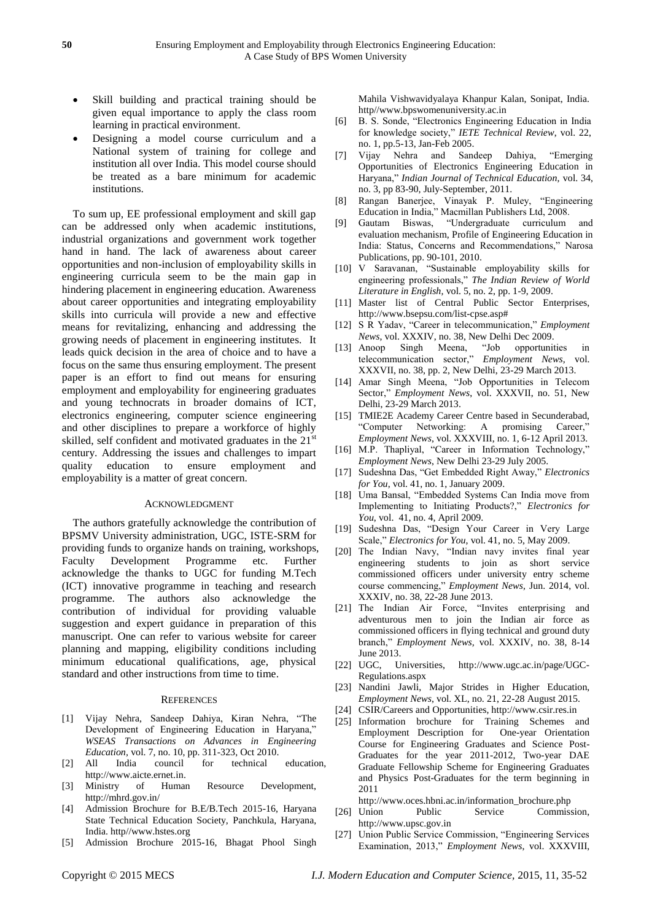- Skill building and practical training should be given equal importance to apply the class room learning in practical environment.
- Designing a model course curriculum and a National system of training for college and institution all over India. This model course should be treated as a bare minimum for academic institutions.

To sum up, EE professional employment and skill gap can be addressed only when academic institutions, industrial organizations and government work together hand in hand. The lack of awareness about career opportunities and non-inclusion of employability skills in engineering curricula seem to be the main gap in hindering placement in engineering education. Awareness about career opportunities and integrating employability skills into curricula will provide a new and effective means for revitalizing, enhancing and addressing the growing needs of placement in engineering institutes. It leads quick decision in the area of choice and to have a focus on the same thus ensuring employment. The present paper is an effort to find out means for ensuring employment and employability for engineering graduates and young technocrats in broader domains of ICT, electronics engineering, computer science engineering and other disciplines to prepare a workforce of highly skilled, self confident and motivated graduates in the  $21^{st}$ century. Addressing the issues and challenges to impart quality education to ensure employment and employability is a matter of great concern.

#### ACKNOWLEDGMENT

The authors gratefully acknowledge the contribution of BPSMV University administration, UGC, ISTE-SRM for providing funds to organize hands on training, workshops, Faculty Development Programme etc. Further acknowledge the thanks to UGC for funding M.Tech (ICT) innovative programme in teaching and research programme. The authors also acknowledge the contribution of individual for providing valuable suggestion and expert guidance in preparation of this manuscript. One can refer to various website for career planning and mapping, eligibility conditions including minimum educational qualifications, age, physical standard and other instructions from time to time.

#### **REFERENCES**

- [1] Vijay Nehra, Sandeep Dahiya, Kiran Nehra, "The Development of Engineering Education in Haryana," *WSEAS Transactions on Advances in Engineering Education,* vol. 7, no. 10, pp. 311-323, Oct 2010.
- [2] All India council for technical education, [http://www.aicte.ernet.in.](http://www.aicte.ernet.in/)
- [3] Ministry of Human Resource Development, <http://mhrd.gov.in/>
- [4] Admission Brochure for B.E/B.Tech 2015-16, Haryana State Technical Education Society, Panchkula, Haryana, India. http//www.hstes.org
- [5] Admission Brochure 2015-16, Bhagat Phool Singh

Mahila Vishwavidyalaya Khanpur Kalan, Sonipat, India. http//www.bpswomenuniversity.ac.in

- [6] B. S. Sonde, "Electronics Engineering Education in India for knowledge society," *IETE Technical Review*, vol. 22, no. 1, pp.5-13, Jan-Feb 2005.
- [7] Vijay Nehra and Sandeep Dahiya, "Emerging Opportunities of Electronics Engineering Education in Haryana," *Indian Journal of Technical Education*, vol. 34, no. 3, pp 83-90, July-September, 2011.
- [8] Rangan Banerjee, Vinayak P. Muley, "Engineering Education in India," Macmillan Publishers Ltd, 2008.
- [9] Gautam Biswas, "Undergraduate curriculum and evaluation mechanism, Profile of Engineering Education in India: Status, Concerns and Recommendations," Narosa Publications, pp. 90-101, 2010.
- [10] V Saravanan, "Sustainable employability skills for engineering professionals," *The Indian Review of World Literature in English,* vol. 5, no. 2, pp. 1-9, 2009.
- [11] Master list of Central Public Sector Enterprises, http://www.bsepsu.com/list-cpse.asp#
- [12] S R Yadav, "Career in telecommunication," *Employment News*, vol. XXXIV, no. 38, New Delhi Dec 2009.
- [13] Anoop Singh Meena, "Job opportunities in telecommunication sector," *Employment News*, vol. XXXVII, no. 38, pp. 2, New Delhi, 23-29 March 2013.
- [14] Amar Singh Meena, "Job Opportunities in Telecom Sector," *Employment News*, vol. XXXVII, no. 51, New Delhi, 23-29 March 2013.
- [15] TMIE2E Academy Career Centre based in Secunderabad, "Computer Networking: A promising Career," *Employment News*, vol. XXXVIII, no. 1, 6-12 April 2013.
- [16] M.P. Thapliyal, "Career in Information Technology," *Employment News*, New Delhi 23-29 July 2005.
- [17] Sudeshna Das, "Get Embedded Right Away," *Electronics for You*, vol. 41, no. 1, January 2009.
- [18] Uma Bansal, "Embedded Systems Can India move from Implementing to Initiating Products?," *Electronics for You*, vol. 41, no. 4, April 2009.
- [19] Sudeshna Das, "Design Your Career in Very Large Scale," *Electronics for You*, vol. 41, no. 5, May 2009.
- [20] The Indian Navy, "Indian navy invites final year engineering students to join as short service commissioned officers under university entry scheme course commencing," *Employment News*, Jun. 2014, vol. XXXIV, no. 38, 22-28 June 2013.
- [21] The Indian Air Force, "Invites enterprising and adventurous men to join the Indian air force as commissioned officers in flying technical and ground duty branch," *Employment News, vol. XXXIV, no.* 38, 8-14 June 2013.
- [22] UGC, Universities, [http://www.ugc.ac.in/page/UGC-](http://www.ugc.ac.in/page/UGC-Regulations.aspx)[Regulations.aspx](http://www.ugc.ac.in/page/UGC-Regulations.aspx)
- [23] Nandini Jawli, Major Strides in Higher Education, *Employment News*, vol. XL, no. 21, 22-28 August 2015.
- [24] CSIR/Careers and Opportunities, [http://www.csir.res.in](http://www.csir.res.in/)
- [25] Information brochure for Training Schemes and Employment Description for One-year Orientation Course for Engineering Graduates and Science Post-Graduates for the year 2011-2012, Two-year DAE Graduate Fellowship Scheme for Engineering Graduates and Physics Post-Graduates for the term beginning in 2011
	- [http://www.oces.hbni.ac.in/information\\_brochure.php](http://www.oces.hbni.ac.in/information_brochure.php)
- [26] Union Public Service Commission, http:/[/www.upsc.gov.in](http://www.upsc.gov.in/)
- [27] Union Public Service Commission, "Engineering Services" Examination, 2013," *Employment News*, vol. XXXVIII,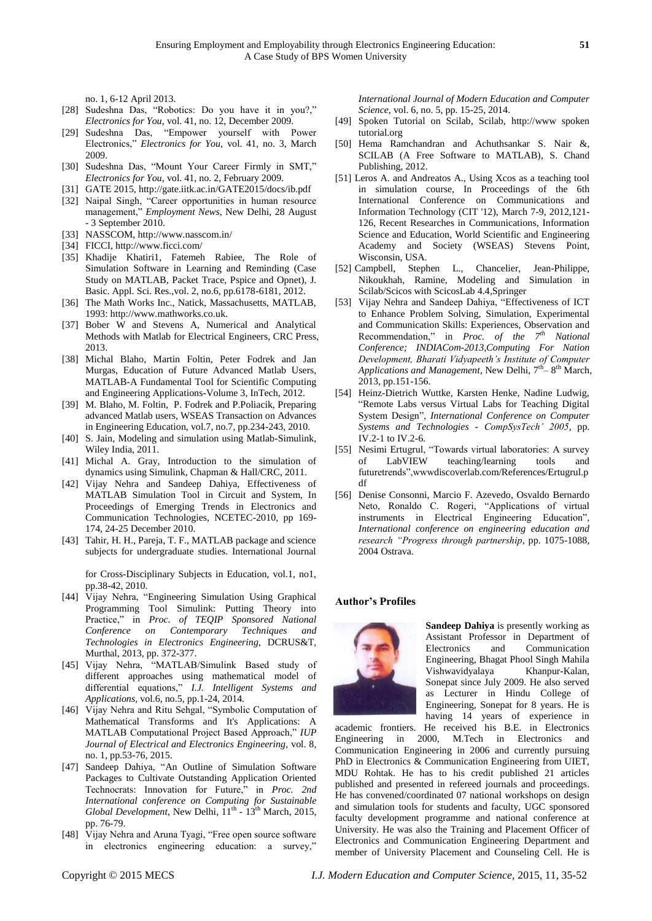no. 1, 6-12 April 2013.

- [28] Sudeshna Das, "Robotics: Do you have it in you?," *Electronics for You*, vol. 41, no. 12, December 2009.
- [29] Sudeshna Das, "Empower yourself with Power Electronics," *Electronics for You*, vol. 41, no. 3, March 2009.
- [30] Sudeshna Das, "Mount Your Career Firmly in SMT," *Electronics for You*, vol. 41, no. 2, February 2009.
- [31] GATE 2015[, http://gate.iitk.ac.in/GATE2015/docs/ib.pdf](http://gate.iitk.ac.in/GATE2015/docs/ib.pdf)
- [32] Naipal Singh, "Career opportunities in human resource management," *Employment News*, New Delhi, 28 August - 3 September 2010.
- [33] NASSCOM,<http://www.nasscom.in/>
- [34] FICCI[, http://www.ficci.com/](http://www.ficci.com/)
- [35] Khadije Khatiri1, Fatemeh Rabiee, The Role of Simulation Software in Learning and Reminding (Case Study on MATLAB, Packet Trace, Pspice and Opnet), J. Basic. Appl. Sci. Res.,vol. 2, no.6, pp.6178-6181, 2012.
- [36] The Math Works Inc., Natick, Massachusetts, MATLAB, 1993: [http://www.mathworks.co.uk.](http://www.mathworks.co.uk/)
- [37] Bober W and Stevens A, Numerical and Analytical Methods with Matlab for Electrical Engineers, CRC Press, 2013.
- [38] Michal Blaho, Martin Foltin, Peter Fodrek and Jan Murgas, Education of Future Advanced Matlab Users, MATLAB-A Fundamental Tool for Scientific Computing and Engineering Applications-Volume 3, InTech, 2012.
- [39] M. Blaho, M. Foltin, P. Fodrek and P.Poliacik, Preparing advanced Matlab users, WSEAS Transaction on Advances in Engineering Education, vol.7, no.7, pp.234-243, 2010.
- [40] S. Jain, Modeling and simulation using Matlab-Simulink, Wiley India, 2011.
- [41] Michal A. Gray, Introduction to the simulation of dynamics using Simulink, Chapman & Hall/CRC, 2011.
- [42] Vijay Nehra and Sandeep Dahiya, Effectiveness of MATLAB Simulation Tool in Circuit and System, In Proceedings of Emerging Trends in Electronics and Communication Technologies, NCETEC-2010, pp 169- 174, 24-25 December 2010.
- [43] Tahir, H. H., Pareja, T. F., MATLAB package and science subjects for undergraduate studies. International Journal

for Cross-Disciplinary Subjects in Education, vol.1, no1, pp.38-42, 2010.

- [44] Vijay Nehra, "Engineering Simulation Using Graphical Programming Tool Simulink: Putting Theory into Practice," in *Proc. of TEQIP Sponsored National Conference on Contemporary Techniques and Technologies in Electronics Engineering,* DCRUS&T, Murthal, 2013, pp. 372-377.
- [45] Vijay Nehra, "MATLAB/Simulink Based study of different approaches using mathematical model of differential equations,‖ *I.J. Intelligent Systems and Applications,* vol.6, no.5, pp.1-24, 2014*.*
- [46] Vijay Nehra and Ritu Sehgal, "Symbolic Computation of Mathematical Transforms and It's Applications: A MATLAB Computational Project Based Approach," IUP *Journal of Electrical and Electronics Engineering*, vol. 8, no. 1, pp.53-76, 2015.
- [47] Sandeep Dahiya, "An Outline of Simulation Software Packages to Cultivate Outstanding Application Oriented Technocrats: Innovation for Future," in *Proc.* 2nd *International conference on Computing for Sustainable*  Global Development, New Delhi,  $11<sup>th</sup>$  -  $13<sup>th</sup>$  March, 2015, pp. 76-79.
- [48] Vijay Nehra and Aruna Tyagi, "Free open source software in electronics engineering education: a survey,"

*International Journal of Modern Education and Computer Science*, vol. 6, no. 5, pp. 15-25, 2014.

- [49] Spoken Tutorial on Scilab, Scilab, http://www spoken tutorial.org
- [50] [Hema Ramchandran](https://www.schandpublishing.com/author-details/-hema-ramchandran/473) and [Achuthsankar S.](https://www.schandpublishing.com/author-details/-achuthsankar-s-nair/221) Nair &, SCILAB (A Free Software to MATLAB), S. Chand Publishing, 2012.
- [51] Leros A. and Andreatos A., Using Xcos as a teaching tool in simulation course, In Proceedings of the 6th International Conference on Communications and Information Technology (CIT '12), March 7-9, 2012,121- 126, Recent Researches in Communications, Information Science and Education[, World Scientific and Engineering](http://www.worldses.org/)  [Academy and Society \(WSEAS\)](http://www.worldses.org/) Stevens Point, Wisconsin, USA.
- [52] Campbell, Stephen L., Chancelier, Jean-Philippe, Nikoukhah, Ramine, Modeling and Simulation in Scilab/Scicos with ScicosLab 4.4,Springer
- [53] Vijay Nehra and Sandeep Dahiya, "Effectiveness of ICT to Enhance Problem Solving, Simulation, Experimental and Communication Skills: Experiences, Observation and Recommendation,‖ in *Proc. of the 7th National Conference; INDIACom-2013,Computing For Nation Development, Bharati Vidyapeeth's Institute of Computer*  Applications and Management, New Delhi,  $7<sup>th</sup> - 8<sup>th</sup>$  March, 2013, pp.151-156.
- [54] Heinz-Dietrich Wuttke, Karsten Henke, Nadine Ludwig, "Remote Labs versus Virtual Labs for Teaching Digital System Design", *International Conference on Computer Systems and Technologies - CompSysTech' 2005*, pp. IV.2-1 to IV.2-6.
- [55] Nesimi Ertugrul, "Towards virtual laboratories: A survey of LabVIEW teaching/learning tools and futuretrends‖,ww[wdiscoverlab.com/References/Ertugrul.p](http://discoverlab.com/References/Ertugrul.pdf) [df](http://discoverlab.com/References/Ertugrul.pdf)
- [56] Denise Consonni, Marcio F. Azevedo, Osvaldo Bernardo Neto, Ronaldo C. Rogeri, "Applications of virtual instruments in Electrical Engineering Education", *International conference on engineering education and research "Progress through partnership*, pp. 1075-1088, 2004 Ostrava.

#### **Author's Profiles**



**Sandeep Dahiya** is presently working as Assistant Professor in Department of Electronics and Communication Engineering, Bhagat Phool Singh Mahila Vishwavidyalaya Khanpur-Kalan, Sonepat since July 2009. He also served as Lecturer in Hindu College of Engineering, Sonepat for 8 years. He is having 14 years of experience in

academic frontiers. He received his B.E. in Electronics Engineering in 2000, M.Tech in Electronics and Communication Engineering in 2006 and currently pursuing PhD in Electronics & Communication Engineering from UIET, MDU Rohtak. He has to his credit published 21 articles published and presented in refereed journals and proceedings. He has convened/coordinated 07 national workshops on design and simulation tools for students and faculty, UGC sponsored faculty development programme and national conference at University. He was also the Training and Placement Officer of Electronics and Communication Engineering Department and member of University Placement and Counseling Cell. He is